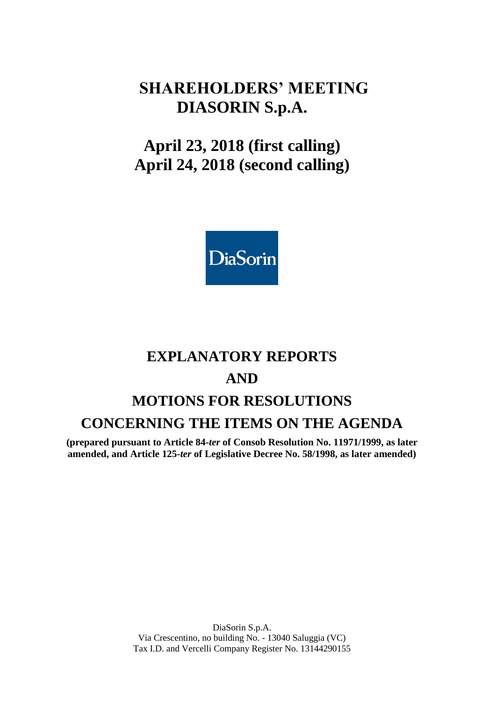## **SHAREHOLDERS' MEETING DIASORIN S.p.A.**

# **April 23, 2018 (first calling) April 24, 2018 (second calling)**



# **EXPLANATORY REPORTS AND MOTIONS FOR RESOLUTIONS CONCERNING THE ITEMS ON THE AGENDA**

**(prepared pursuant to Article 84-***ter* **of Consob Resolution No. 11971/1999, as later amended, and Article 125-***ter* **of Legislative Decree No. 58/1998, as later amended)**

> DiaSorin S.p.A. Via Crescentino, no building No. - 13040 Saluggia (VC) Tax I.D. and Vercelli Company Register No. 13144290155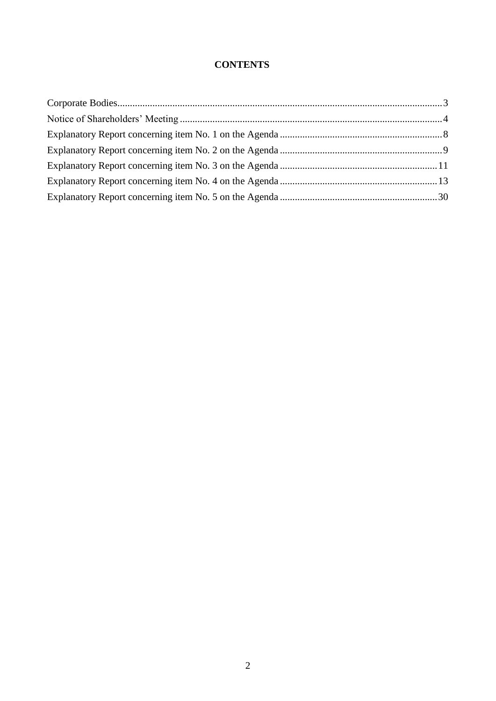### **CONTENTS**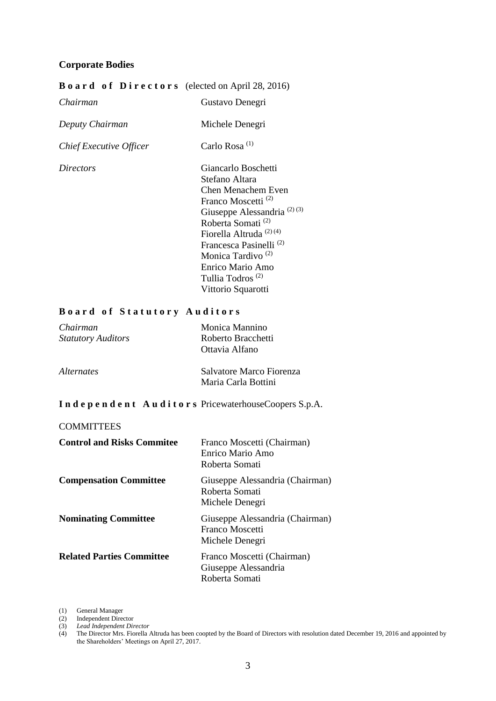#### <span id="page-2-0"></span>**Corporate Bodies**

#### **B o a r d o f D i r e c t o r s** (elected on April 28, 2016)

| Chairman                | Gustavo Denegri                        |
|-------------------------|----------------------------------------|
| Deputy Chairman         | Michele Denegri                        |
| Chief Executive Officer | Carlo Rosa <sup>(1)</sup>              |
| <i>Directors</i>        | Giancarlo Boschetti                    |
|                         | Stefano Altara                         |
|                         | Chen Menachem Even                     |
|                         | Franco Moscetti <sup>(2)</sup>         |
|                         | Giuseppe Alessandria <sup>(2)(3)</sup> |
|                         | Roberta Somati <sup>(2)</sup>          |
|                         | Fiorella Altruda <sup>(2)(4)</sup>     |
|                         | Francesca Pasinelli <sup>(2)</sup>     |
|                         | Monica Tardivo <sup>(2)</sup>          |
|                         | Enrico Mario Amo                       |
|                         | Tullia Todros <sup>(2)</sup>           |
|                         | Vittorio Squarotti                     |

#### **B o a r d o f S t a t u t o r y A u d i t o r s**

| Chairman<br><b>Statutory Auditors</b> | Monica Mannino<br>Roberto Bracchetti<br>Ottavia Alfano |
|---------------------------------------|--------------------------------------------------------|
| <i>Alternates</i>                     | Salvatore Marco Fiorenza<br>Maria Carla Bottini        |

#### **I n d e p e n d e n t A u d i t o r s** PricewaterhouseCoopers S.p.A.

#### **COMMITTEES**

| <b>Control and Risks Commitee</b> | Franco Moscetti (Chairman)<br>Enrico Mario Amo<br>Roberta Somati      |
|-----------------------------------|-----------------------------------------------------------------------|
| <b>Compensation Committee</b>     | Giuseppe Alessandria (Chairman)<br>Roberta Somati<br>Michele Denegri  |
| <b>Nominating Committee</b>       | Giuseppe Alessandria (Chairman)<br>Franco Moscetti<br>Michele Denegri |
| <b>Related Parties Committee</b>  | Franco Moscetti (Chairman)<br>Giuseppe Alessandria<br>Roberta Somati  |

(1) General Manager

(2) Independent Director

(3) *Lead Independent Director*

<sup>(4)</sup> The Director Mrs. Fiorella Altruda has been coopted by the Board of Directors with resolution dated December 19, 2016 and appointed by the Shareholders' Meetings on April 27, 2017.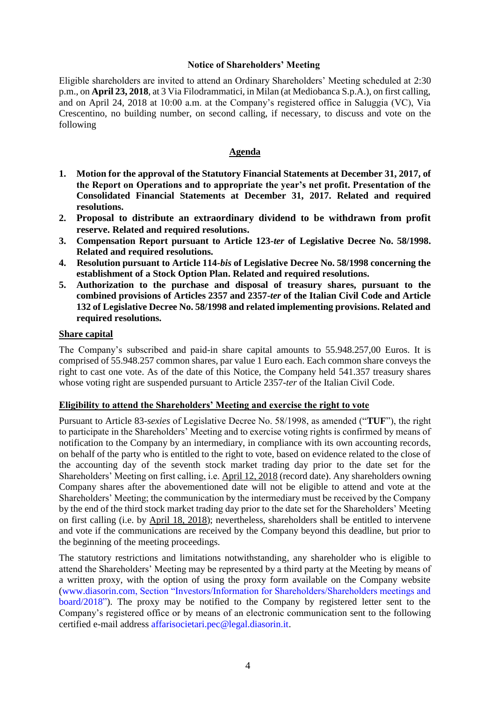#### **Notice of Shareholders' Meeting**

<span id="page-3-0"></span>Eligible shareholders are invited to attend an Ordinary Shareholders' Meeting scheduled at 2:30 p.m., on **April 23, 2018**, at 3 Via Filodrammatici, in Milan (at Mediobanca S.p.A.), on first calling, and on April 24, 2018 at 10:00 a.m. at the Company's registered office in Saluggia (VC), Via Crescentino, no building number, on second calling, if necessary, to discuss and vote on the following

#### **Agenda**

- **1. Motion for the approval of the Statutory Financial Statements at December 31, 2017, of the Report on Operations and to appropriate the year's net profit. Presentation of the Consolidated Financial Statements at December 31, 2017. Related and required resolutions.**
- **2. Proposal to distribute an extraordinary dividend to be withdrawn from profit reserve. Related and required resolutions.**
- **3. Compensation Report pursuant to Article 123-***ter* **of Legislative Decree No. 58/1998. Related and required resolutions.**
- **4. Resolution pursuant to Article 114-***bis* **of Legislative Decree No. 58/1998 concerning the establishment of a Stock Option Plan. Related and required resolutions.**
- **5. Authorization to the purchase and disposal of treasury shares, pursuant to the combined provisions of Articles 2357 and 2357-***ter* **of the Italian Civil Code and Article 132 of Legislative Decree No. 58/1998 and related implementing provisions. Related and required resolutions.**

#### **Share capital**

The Company's subscribed and paid-in share capital amounts to 55.948.257,00 Euros. It is comprised of 55.948.257 common shares, par value 1 Euro each. Each common share conveys the right to cast one vote. As of the date of this Notice, the Company held 541.357 treasury shares whose voting right are suspended pursuant to Article 2357-*ter* of the Italian Civil Code.

#### **Eligibility to attend the Shareholders' Meeting and exercise the right to vote**

Pursuant to Article 83-*sexies* of Legislative Decree No. 58/1998, as amended ("**TUF**"), the right to participate in the Shareholders' Meeting and to exercise voting rights is confirmed by means of notification to the Company by an intermediary, in compliance with its own accounting records, on behalf of the party who is entitled to the right to vote, based on evidence related to the close of the accounting day of the seventh stock market trading day prior to the date set for the Shareholders' Meeting on first calling, i.e. April 12, 2018 (record date). Any shareholders owning Company shares after the abovementioned date will not be eligible to attend and vote at the Shareholders' Meeting; the communication by the intermediary must be received by the Company by the end of the third stock market trading day prior to the date set for the Shareholders' Meeting on first calling (i.e. by April 18, 2018); nevertheless, shareholders shall be entitled to intervene and vote if the communications are received by the Company beyond this deadline, but prior to the beginning of the meeting proceedings.

The statutory restrictions and limitations notwithstanding, any shareholder who is eligible to attend the Shareholders' Meeting may be represented by a third party at the Meeting by means of a written proxy, with the option of using the proxy form available on the Company website [\(www.diasorin.com,](http://www.diasorin.com/) Section "Investors/Information for Shareholders/Shareholders meetings and board/2018"). The proxy may be notified to the Company by registered letter sent to the Company's registered office or by means of an electronic communication sent to the following certified e-mail address affarisocietari.pec@legal.diasorin.it.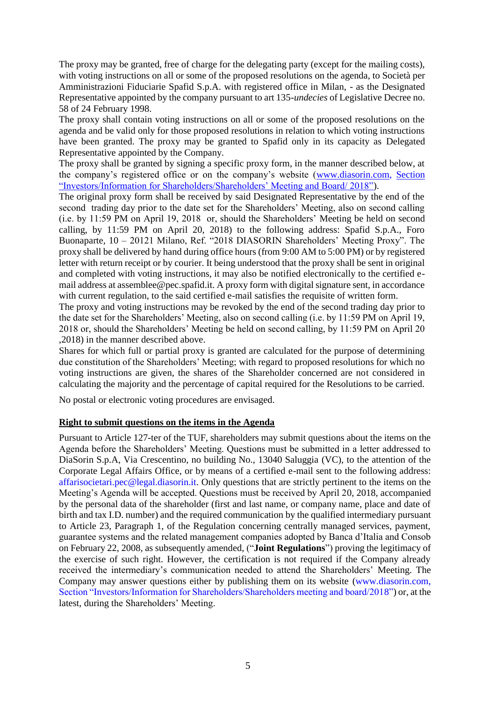The proxy may be granted, free of charge for the delegating party (except for the mailing costs), with voting instructions on all or some of the proposed resolutions on the agenda, to Società per Amministrazioni Fiduciarie Spafid S.p.A. with registered office in Milan, - as the Designated Representative appointed by the company pursuant to art 135-*undecies* of Legislative Decree no. 58 of 24 February 1998.

The proxy shall contain voting instructions on all or some of the proposed resolutions on the agenda and be valid only for those proposed resolutions in relation to which voting instructions have been granted. The proxy may be granted to Spafid only in its capacity as Delegated Representative appointed by the Company.

The proxy shall be granted by signing a specific proxy form, in the manner described below, at the company's registered office or on the company's website [\(www.diasorin.com,](http://www.diasorin.com/) Section "Investors/Information for Shareholders/Shareholders' Meeting and Board/ 2018").

The original proxy form shall be received by said Designated Representative by the end of the second trading day prior to the date set for the Shareholders' Meeting, also on second calling (i.e. by 11:59 PM on April 19, 2018 or, should the Shareholders' Meeting be held on second calling, by 11:59 PM on April 20, 2018) to the following address: Spafid S.p.A., Foro Buonaparte, 10 – 20121 Milano, Ref. "2018 DIASORIN Shareholders' Meeting Proxy". The proxy shall be delivered by hand during office hours (from 9:00 AM to 5:00 PM) or by registered letter with return receipt or by courier. It being understood that the proxy shall be sent in original and completed with voting instructions, it may also be notified electronically to the certified email address at assemblee@pec.spafid.it. A proxy form with digital signature sent, in accordance with current regulation, to the said certified e-mail satisfies the requisite of written form.

The proxy and voting instructions may be revoked by the end of the second trading day prior to the date set for the Shareholders' Meeting, also on second calling (i.e. by 11:59 PM on April 19, 2018 or, should the Shareholders' Meeting be held on second calling, by 11:59 PM on April 20 ,2018) in the manner described above.

Shares for which full or partial proxy is granted are calculated for the purpose of determining due constitution of the Shareholders' Meeting; with regard to proposed resolutions for which no voting instructions are given, the shares of the Shareholder concerned are not considered in calculating the majority and the percentage of capital required for the Resolutions to be carried.

No postal or electronic voting procedures are envisaged.

#### **Right to submit questions on the items in the Agenda**

Pursuant to Article 127-ter of the TUF, shareholders may submit questions about the items on the Agenda before the Shareholders' Meeting. Questions must be submitted in a letter addressed to DiaSorin S.p.A, Via Crescentino, no building No., 13040 Saluggia (VC), to the attention of the Corporate Legal Affairs Office, or by means of a certified e-mail sent to the following address: [affarisocietari.pec@legal.diasorin.it.](mailto:affarisocietari@diasorin.it) Only questions that are strictly pertinent to the items on the Meeting's Agenda will be accepted. Questions must be received by April 20, 2018, accompanied by the personal data of the shareholder (first and last name, or company name, place and date of birth and tax I.D. number) and the required communication by the qualified intermediary pursuant to Article 23, Paragraph 1, of the Regulation concerning centrally managed services, payment, guarantee systems and the related management companies adopted by Banca d'Italia and Consob on February 22, 2008, as subsequently amended, ("**Joint Regulations**") proving the legitimacy of the exercise of such right. However, the certification is not required if the Company already received the intermediary's communication needed to attend the Shareholders' Meeting. The Company may answer questions either by publishing them on its website [\(www.diasorin.com,](http://www.diasorin.com/) Section "Investors/Information for Shareholders/Shareholders meeting and board/2018") or, at the latest, during the Shareholders' Meeting.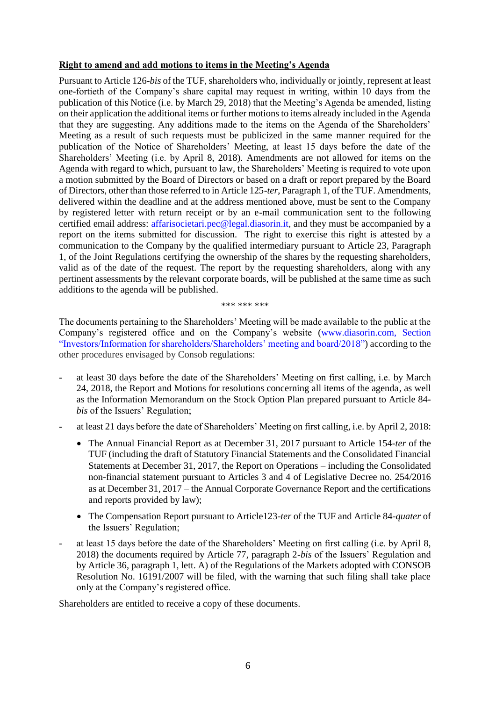#### **Right to amend and add motions to items in the Meeting's Agenda**

Pursuant to Article 126-*bis* of the TUF, shareholders who, individually or jointly, represent at least one-fortieth of the Company's share capital may request in writing, within 10 days from the publication of this Notice (i.e. by March 29, 2018) that the Meeting's Agenda be amended, listing on their application the additional items or further motions to items already included in the Agenda that they are suggesting. Any additions made to the items on the Agenda of the Shareholders' Meeting as a result of such requests must be publicized in the same manner required for the publication of the Notice of Shareholders' Meeting, at least 15 days before the date of the Shareholders' Meeting (i.e. by April 8, 2018). Amendments are not allowed for items on the Agenda with regard to which, pursuant to law, the Shareholders' Meeting is required to vote upon a motion submitted by the Board of Directors or based on a draft or report prepared by the Board of Directors, other than those referred to in Article 125-*ter*, Paragraph 1, of the TUF. Amendments, delivered within the deadline and at the address mentioned above, must be sent to the Company by registered letter with return receipt or by an e-mail communication sent to the following certified email address: [affarisocietari.pec@legal.diasorin.it,](mailto:affarisocietari@diasorin.it) and they must be accompanied by a report on the items submitted for discussion. The right to exercise this right is attested by a communication to the Company by the qualified intermediary pursuant to Article 23, Paragraph 1, of the Joint Regulations certifying the ownership of the shares by the requesting shareholders, valid as of the date of the request. The report by the requesting shareholders, along with any pertinent assessments by the relevant corporate boards, will be published at the same time as such additions to the agenda will be published.

#### \*\*\* \*\*\* \*\*\*

The documents pertaining to the Shareholders' Meeting will be made available to the public at the Company's registered office and on the Company's website (www.diasorin.com, Section "Investors/Information for shareholders/Shareholders' meeting and board/2018") according to the other procedures envisaged by Consob regulations:

- at least 30 days before the date of the Shareholders' Meeting on first calling, i.e. by March 24, 2018, the Report and Motions for resolutions concerning all items of the agenda, as well as the Information Memorandum on the Stock Option Plan prepared pursuant to Article 84 *bis* of the Issuers' Regulation;
- at least 21 days before the date of Shareholders' Meeting on first calling, i.e. by April 2, 2018:
	- The Annual Financial Report as at December 31, 2017 pursuant to Article 154-*ter* of the TUF (including the draft of Statutory Financial Statements and the Consolidated Financial Statements at December 31, 2017, the Report on Operations - including the Consolidated non-financial statement pursuant to Articles 3 and 4 of Legislative Decree no. 254/2016 as at December 31, 2017 – the Annual Corporate Governance Report and the certifications and reports provided by law);
	- The Compensation Report pursuant to Article123-*ter* of the TUF and Article 84-*quater* of the Issuers' Regulation;
- at least 15 days before the date of the Shareholders' Meeting on first calling (i.e. by April 8, 2018) the documents required by Article 77, paragraph 2-*bis* of the Issuers' Regulation and by Article 36, paragraph 1, lett. A) of the Regulations of the Markets adopted with CONSOB Resolution No. 16191/2007 will be filed, with the warning that such filing shall take place only at the Company's registered office.

Shareholders are entitled to receive a copy of these documents.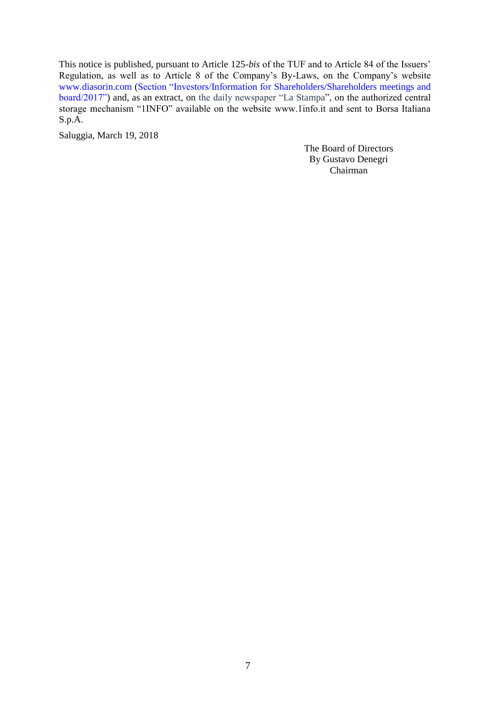This notice is published, pursuant to Article 125-*bis* of the TUF and to Article 84 of the Issuers' Regulation, as well as to Article 8 of the Company's By-Laws, on the Company's website www.diasorin.com (Section "Investors/Information for Shareholders/Shareholders meetings and board/2017") and, as an extract, on the daily newspaper "La Stampa", on the authorized central storage mechanism "1INFO" available on the website www.1info.it and sent to Borsa Italiana S.p.A.

Saluggia, March 19, 2018

The Board of Directors By Gustavo Denegri Chairman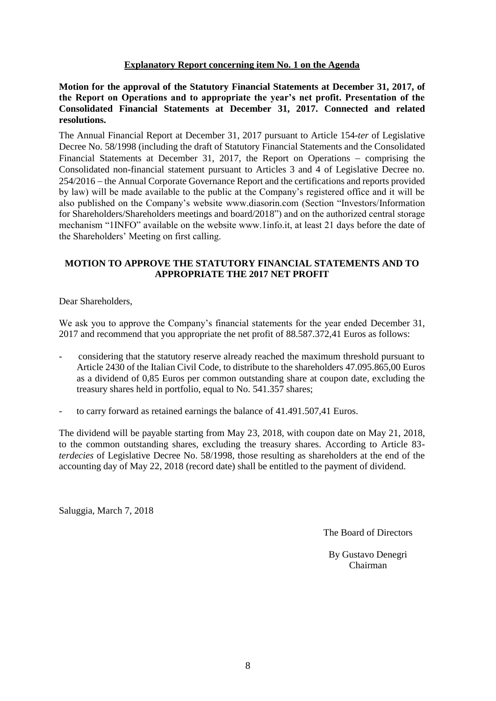#### **Explanatory Report concerning item No. 1 on the Agenda**

<span id="page-7-0"></span>**Motion for the approval of the Statutory Financial Statements at December 31, 2017, of the Report on Operations and to appropriate the year's net profit. Presentation of the Consolidated Financial Statements at December 31, 2017. Connected and related resolutions.** 

The Annual Financial Report at December 31, 2017 pursuant to Article 154-*ter* of Legislative Decree No. 58/1998 (including the draft of Statutory Financial Statements and the Consolidated Financial Statements at December 31, 2017, the Report on Operations – comprising the Consolidated non-financial statement pursuant to Articles 3 and 4 of Legislative Decree no. 254/2016 the Annual Corporate Governance Report and the certifications and reports provided by law) will be made available to the public at the Company's registered office and it will be also published on the Company's website www.diasorin.com (Section "Investors[/Information](http://www.diasorin.com/en/investors/total-shareholders-basis)  [for Shareholders/](http://www.diasorin.com/en/investors/total-shareholders-basis)Shareholders meetings and board/2018") and on the authorized central storage mechanism "1INFO" available on the website www.1info.it, at least 21 days before the date of the Shareholders' Meeting on first calling.

#### **MOTION TO APPROVE THE STATUTORY FINANCIAL STATEMENTS AND TO APPROPRIATE THE 2017 NET PROFIT**

Dear Shareholders,

We ask you to approve the Company's financial statements for the year ended December 31, 2017 and recommend that you appropriate the net profit of 88.587.372,41 Euros as follows:

- considering that the statutory reserve already reached the maximum threshold pursuant to Article 2430 of the Italian Civil Code, to distribute to the shareholders 47.095.865,00 Euros as a dividend of 0,85 Euros per common outstanding share at coupon date, excluding the treasury shares held in portfolio, equal to No. 541.357 shares;
- to carry forward as retained earnings the balance of 41.491.507,41 Euros.

The dividend will be payable starting from May 23, 2018, with coupon date on May 21, 2018, to the common outstanding shares, excluding the treasury shares. According to Article 83 *terdecies* of Legislative Decree No. 58/1998, those resulting as shareholders at the end of the accounting day of May 22, 2018 (record date) shall be entitled to the payment of dividend.

Saluggia, March 7, 2018

The Board of Directors

By Gustavo Denegri Chairman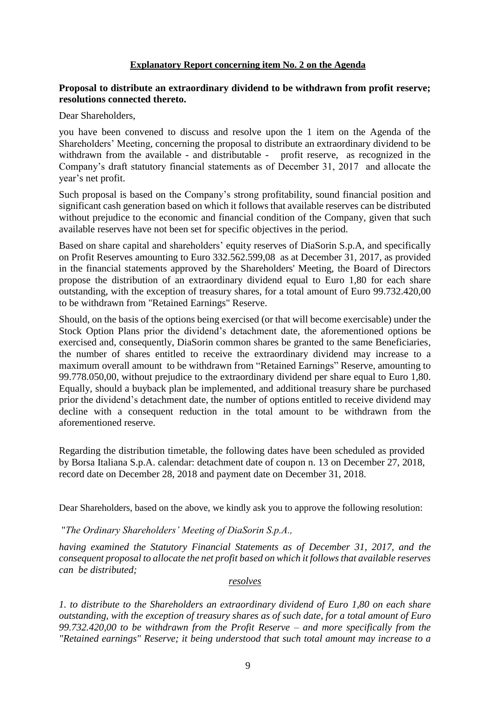#### **Explanatory Report concerning item No. 2 on the Agenda**

#### <span id="page-8-0"></span>**Proposal to distribute an extraordinary dividend to be withdrawn from profit reserve; resolutions connected thereto.**

Dear Shareholders,

you have been convened to discuss and resolve upon the 1 item on the Agenda of the Shareholders' Meeting, concerning the proposal to distribute an extraordinary dividend to be withdrawn from the available - and distributable - profit reserve, as recognized in the Company's draft statutory financial statements as of December 31, 2017 and allocate the year's net profit.

Such proposal is based on the Company's strong profitability, sound financial position and significant cash generation based on which it follows that available reserves can be distributed without prejudice to the economic and financial condition of the Company, given that such available reserves have not been set for specific objectives in the period.

Based on share capital and shareholders' equity reserves of DiaSorin S.p.A, and specifically on Profit Reserves amounting to Euro 332.562.599,08 as at December 31, 2017, as provided in the financial statements approved by the Shareholders' Meeting, the Board of Directors propose the distribution of an extraordinary dividend equal to Euro 1,80 for each share outstanding, with the exception of treasury shares, for a total amount of Euro 99.732.420,00 to be withdrawn from "Retained Earnings" Reserve.

Should, on the basis of the options being exercised (or that will become exercisable) under the Stock Option Plans prior the dividend's detachment date, the aforementioned options be exercised and, consequently, DiaSorin common shares be granted to the same Beneficiaries, the number of shares entitled to receive the extraordinary dividend may increase to a maximum overall amount to be withdrawn from "Retained Earnings" Reserve, amounting to 99.778.050,00, without prejudice to the extraordinary dividend per share equal to Euro 1,80. Equally, should a buyback plan be implemented, and additional treasury share be purchased prior the dividend's detachment date, the number of options entitled to receive dividend may decline with a consequent reduction in the total amount to be withdrawn from the aforementioned reserve.

Regarding the distribution timetable, the following dates have been scheduled as provided by Borsa Italiana S.p.A. calendar: detachment date of coupon n. 13 on December 27, 2018, record date on December 28, 2018 and payment date on December 31, 2018.

Dear Shareholders, based on the above, we kindly ask you to approve the following resolution:

#### "*The Ordinary Shareholders' Meeting of DiaSorin S.p.A.,*

*having examined the Statutory Financial Statements as of December 31, 2017, and the consequent proposal to allocate the net profit based on which it follows that available reserves can be distributed;* 

#### *resolves*

*1. to distribute to the Shareholders an extraordinary dividend of Euro 1,80 on each share outstanding, with the exception of treasury shares as of such date, for a total amount of Euro 99.732.420,00 to be withdrawn from the Profit Reserve – and more specifically from the "Retained earnings" Reserve; it being understood that such total amount may increase to a*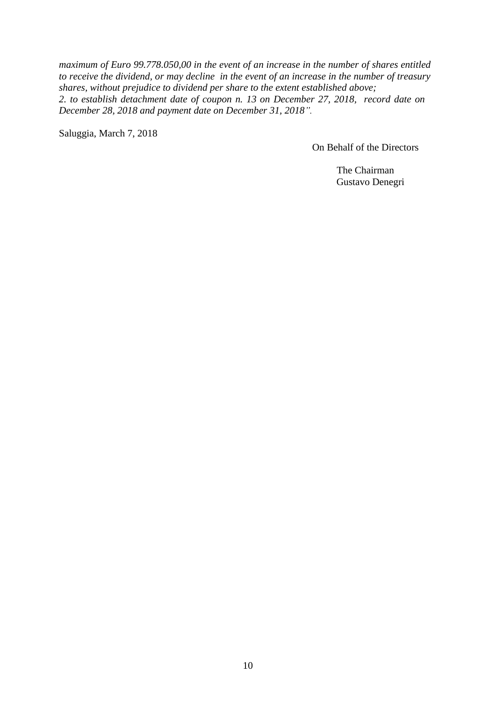*maximum of Euro 99.778.050,00 in the event of an increase in the number of shares entitled to receive the dividend, or may decline in the event of an increase in the number of treasury shares, without prejudice to dividend per share to the extent established above; 2. to establish detachment date of coupon n. 13 on December 27, 2018, record date on December 28, 2018 and payment date on December 31, 2018".*

Saluggia, March 7, 2018

On Behalf of the Directors

The Chairman Gustavo Denegri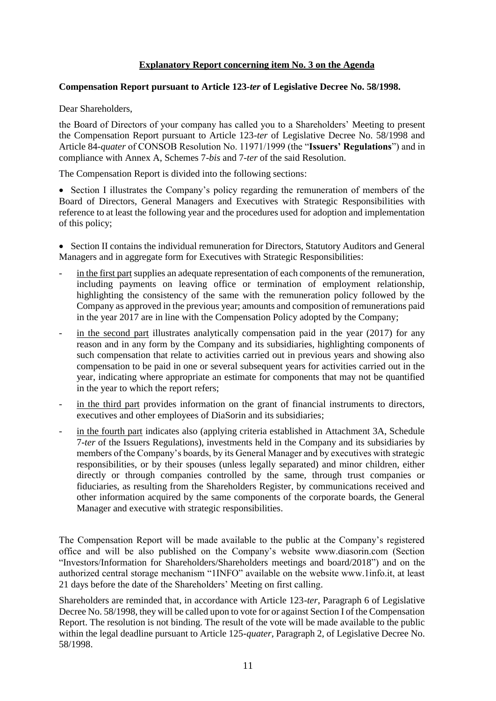#### **Explanatory Report concerning item No. 3 on the Agenda**

#### <span id="page-10-0"></span>**Compensation Report pursuant to Article 123-***ter* **of Legislative Decree No. 58/1998.**

Dear Shareholders,

the Board of Directors of your company has called you to a Shareholders' Meeting to present the Compensation Report pursuant to Article 123-*ter* of Legislative Decree No. 58/1998 and Article 84-*quater* of CONSOB Resolution No. 11971/1999 (the "**Issuers' Regulations**") and in compliance with Annex A, Schemes 7-*bis* and 7-*ter* of the said Resolution.

The Compensation Report is divided into the following sections:

• Section I illustrates the Company's policy regarding the remuneration of members of the Board of Directors, General Managers and Executives with Strategic Responsibilities with reference to at least the following year and the procedures used for adoption and implementation of this policy;

 Section II contains the individual remuneration for Directors, Statutory Auditors and General Managers and in aggregate form for Executives with Strategic Responsibilities:

- in the first part supplies an adequate representation of each components of the remuneration, including payments on leaving office or termination of employment relationship, highlighting the consistency of the same with the remuneration policy followed by the Company as approved in the previous year; amounts and composition of remunerations paid in the year 2017 are in line with the Compensation Policy adopted by the Company;
- in the second part illustrates analytically compensation paid in the year  $(2017)$  for any reason and in any form by the Company and its subsidiaries, highlighting components of such compensation that relate to activities carried out in previous years and showing also compensation to be paid in one or several subsequent years for activities carried out in the year, indicating where appropriate an estimate for components that may not be quantified in the year to which the report refers;
- in the third part provides information on the grant of financial instruments to directors, executives and other employees of DiaSorin and its subsidiaries;
- in the fourth part indicates also (applying criteria established in Attachment 3A, Schedule 7-*ter* of the Issuers Regulations), investments held in the Company and its subsidiaries by members of the Company's boards, by its General Manager and by executives with strategic responsibilities, or by their spouses (unless legally separated) and minor children, either directly or through companies controlled by the same, through trust companies or fiduciaries, as resulting from the Shareholders Register, by communications received and other information acquired by the same components of the corporate boards, the General Manager and executive with strategic responsibilities.

The Compensation Report will be made available to the public at the Company's registered office and will be also published on the Company's website www.diasorin.com (Section "Investors[/Information for Shareholders/](http://www.diasorin.com/en/investors/total-shareholders-basis)Shareholders meetings and board/2018") and on the authorized central storage mechanism "1INFO" available on the website www.1info.it, at least 21 days before the date of the Shareholders' Meeting on first calling.

Shareholders are reminded that, in accordance with Article 123-*ter*, Paragraph 6 of Legislative Decree No. 58/1998, they will be called upon to vote for or against Section I of the Compensation Report. The resolution is not binding. The result of the vote will be made available to the public within the legal deadline pursuant to Article 125-*quater*, Paragraph 2, of Legislative Decree No. 58/1998.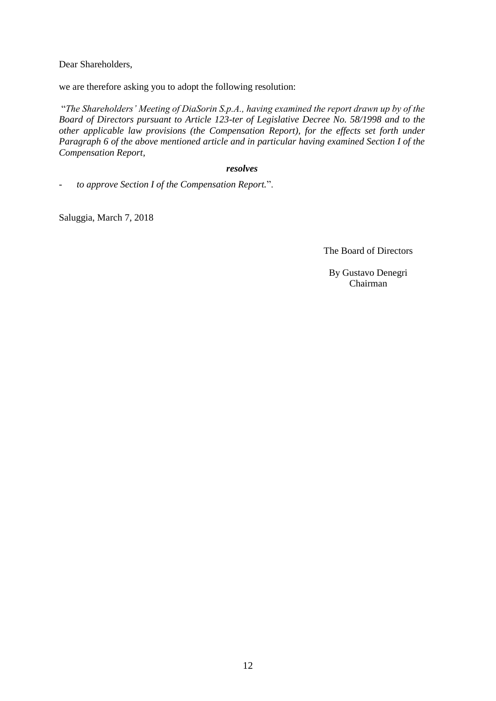Dear Shareholders,

we are therefore asking you to adopt the following resolution:

"*The Shareholders' Meeting of DiaSorin S.p.A., having examined the report drawn up by of the Board of Directors pursuant to Article 123-ter of Legislative Decree No. 58/1998 and to the other applicable law provisions (the Compensation Report), for the effects set forth under Paragraph 6 of the above mentioned article and in particular having examined Section I of the Compensation Report,*

#### *resolves*

*- to approve Section I of the Compensation Report.*".

Saluggia, March 7, 2018

The Board of Directors

By Gustavo Denegri Chairman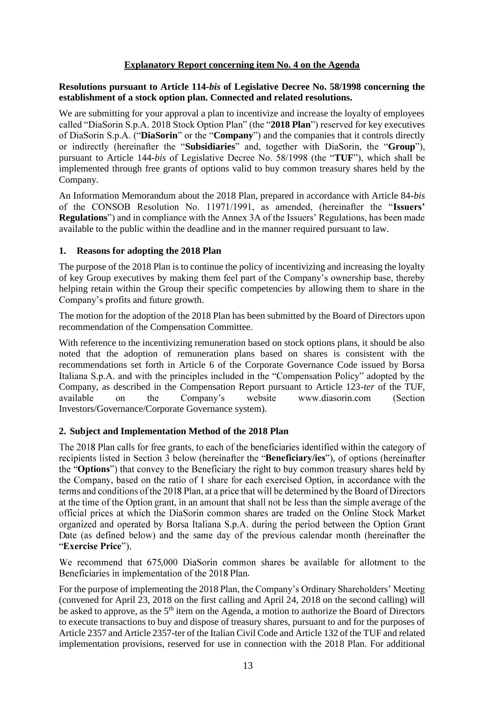#### **Explanatory Report concerning item No. 4 on the Agenda**

#### <span id="page-12-0"></span>**Resolutions pursuant to Article 114-***bis* **of Legislative Decree No. 58/1998 concerning the establishment of a stock option plan. Connected and related resolutions.**

We are submitting for your approval a plan to incentivize and increase the loyalty of employees called "DiaSorin S.p.A. 2018 Stock Option Plan" (the "**2018 Plan**") reserved for key executives of DiaSorin S.p.A. ("**DiaSorin**" or the "**Company**") and the companies that it controls directly or indirectly (hereinafter the "**Subsidiaries**" and, together with DiaSorin, the "**Group**"), pursuant to Article 144-*bis* of Legislative Decree No. 58/1998 (the "**TUF**"), which shall be implemented through free grants of options valid to buy common treasury shares held by the Company.

An Information Memorandum about the 2018 Plan, prepared in accordance with Article 84-*bis*  of the CONSOB Resolution No. 11971/1991, as amended, (hereinafter the "**Issuers' Regulations**") and in compliance with the Annex 3A of the Issuers' Regulations, has been made available to the public within the deadline and in the manner required pursuant to law.

#### **1. Reasons for adopting the 2018 Plan**

The purpose of the 2018 Plan is to continue the policy of incentivizing and increasing the loyalty of key Group executives by making them feel part of the Company's ownership base, thereby helping retain within the Group their specific competencies by allowing them to share in the Company's profits and future growth.

The motion for the adoption of the 2018 Plan has been submitted by the Board of Directors upon recommendation of the Compensation Committee.

With reference to the incentivizing remuneration based on stock options plans, it should be also noted that the adoption of remuneration plans based on shares is consistent with the recommendations set forth in Article 6 of the Corporate Governance Code issued by Borsa Italiana S.p.A. and with the principles included in the "Compensation Policy" adopted by the Company, as described in the Compensation Report pursuant to Article 123-*ter* of the TUF, available on the Company's website www.diasorin.com (Section Investors/Governance/Corporate Governance system).

#### **2. Subject and Implementation Method of the 2018 Plan**

The 2018 Plan calls for free grants, to each of the beneficiaries identified within the category of recipients listed in Section 3 below (hereinafter the "Beneficiary/ies"), of options (hereinafter the "**Options**") that convey to the Beneficiary the right to buy common treasury shares held by the Company, based on the ratio of 1 share for each exercised Option, in accordance with the terms and conditions of the 2018 Plan, at a price that will be determined by the Board of Directors at the time of the Option grant, in an amount that shall not be less than the simple average of the official prices at which the DiaSorin common shares are traded on the Online Stock Market organized and operated by Borsa Italiana S.p.A. during the period between the Option Grant Date (as defined below) and the same day of the previous calendar month (hereinafter the **Exercise Price**

We recommend that 675,000 DiaSorin common shares be available for allotment to the Beneficiaries in implementation of the 2018 Plan.

For the purpose of implementing the 2018 Plan, the Company's Ordinary Shareholders' Meeting (convened for April 23, 2018 on the first calling and April 24, 2018 on the second calling) will be asked to approve, as the 5<sup>th</sup> item on the Agenda, a motion to authorize the Board of Directors to execute transactions to buy and dispose of treasury shares, pursuant to and for the purposes of Article 2357 and Article 2357-ter of the Italian Civil Code and Article 132 of the TUF and related implementation provisions, reserved for use in connection with the 2018 Plan. For additional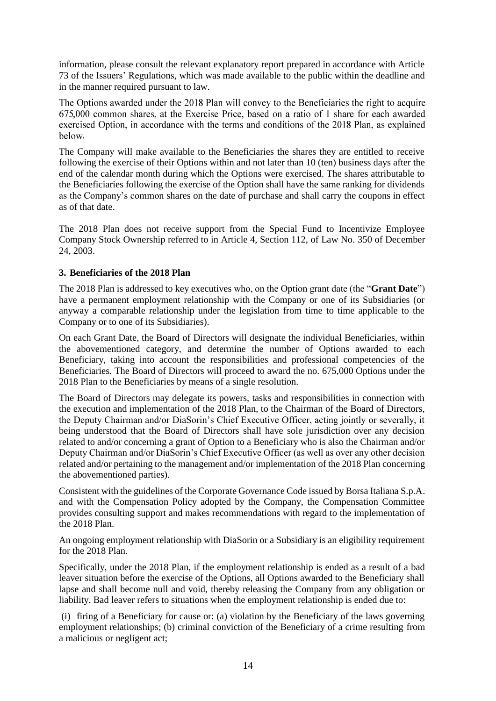information, please consult the relevant explanatory report prepared in accordance with Article 73 of the Issuers' Regulations, which was made available to the public within the deadline and in the manner required pursuant to law.

The Options awarded under the 2018 Plan will convey to the Beneficiaries the right to acquire 675,000 common shares, at the Exercise Price, based on a ratio of 1 share for each awarded exercised Option, in accordance with the terms and conditions of the 2018 Plan, as explained helow.

The Company will make available to the Beneficiaries the shares they are entitled to receive following the exercise of their Options within and not later than 10 (ten) business days after the end of the calendar month during which the Options were exercised. The shares attributable to the Beneficiaries following the exercise of the Option shall have the same ranking for dividends as the Company's common shares on the date of purchase and shall carry the coupons in effect as of that date.

The 2018 Plan does not receive support from the Special Fund to Incentivize Employee Company Stock Ownership referred to in Article 4, Section 112, of Law No. 350 of December 24, 2003.

#### **3. Beneficiaries of the 2018 Plan**

The 2018 Plan is addressed to key executives who, on the Option grant date (the "**Grant Date**") have a permanent employment relationship with the Company or one of its Subsidiaries (or anyway a comparable relationship under the legislation from time to time applicable to the Company or to one of its Subsidiaries).

On each Grant Date, the Board of Directors will designate the individual Beneficiaries, within the abovementioned category, and determine the number of Options awarded to each Beneficiary, taking into account the responsibilities and professional competencies of the Beneficiaries. The Board of Directors will proceed to award the no. 675,000 Options under the 2018 Plan to the Beneficiaries by means of a single resolution.

The Board of Directors may delegate its powers, tasks and responsibilities in connection with the execution and implementation of the 2018 Plan, to the Chairman of the Board of Directors, the Deputy Chairman and/or DiaSorin's Chief Executive Officer, acting jointly or severally, it being understood that the Board of Directors shall have sole jurisdiction over any decision related to and/or concerning a grant of Option to a Beneficiary who is also the Chairman and/or Deputy Chairman and/or DiaSorin's Chief Executive Officer (as well as over any other decision related and/or pertaining to the management and/or implementation of the 2018 Plan concerning the abovementioned parties).

Consistent with the guidelines of the Corporate Governance Code issued by Borsa Italiana S.p.A. and with the Compensation Policy adopted by the Company, the Compensation Committee provides consulting support and makes recommendations with regard to the implementation of the 2018 Plan.

An ongoing employment relationship with DiaSorin or a Subsidiary is an eligibility requirement for the 2018 Plan.

Specifically, under the 2018 Plan, if the employment relationship is ended as a result of a bad leaver situation before the exercise of the Options, all Options awarded to the Beneficiary shall lapse and shall become null and void, thereby releasing the Company from any obligation or liability. Bad leaver refers to situations when the employment relationship is ended due to:

(i) firing of a Beneficiary for cause or: (a) violation by the Beneficiary of the laws governing employment relationships; (b) criminal conviction of the Beneficiary of a crime resulting from a malicious or negligent act;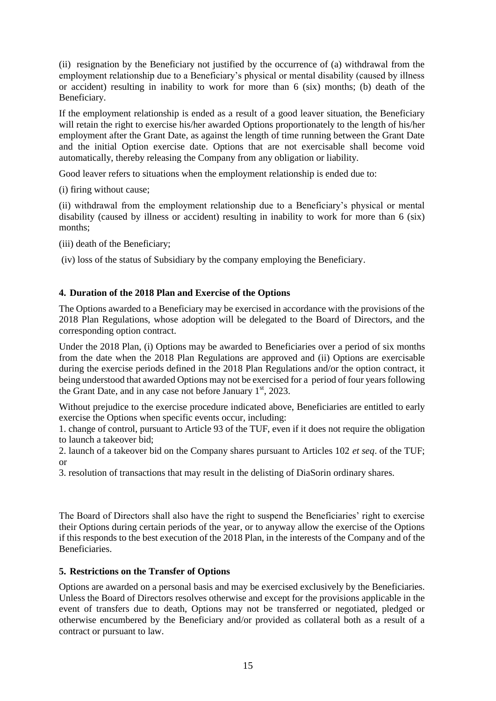(ii) resignation by the Beneficiary not justified by the occurrence of (a) withdrawal from the employment relationship due to a Beneficiary's physical or mental disability (caused by illness or accident) resulting in inability to work for more than 6 (six) months; (b) death of the Beneficiary.

If the employment relationship is ended as a result of a good leaver situation, the Beneficiary will retain the right to exercise his/her awarded Options proportionately to the length of his/her employment after the Grant Date, as against the length of time running between the Grant Date and the initial Option exercise date. Options that are not exercisable shall become void automatically, thereby releasing the Company from any obligation or liability.

Good leaver refers to situations when the employment relationship is ended due to:

(i) firing without cause;

(ii) withdrawal from the employment relationship due to a Beneficiary's physical or mental disability (caused by illness or accident) resulting in inability to work for more than 6 (six) months;

(iii) death of the Beneficiary;

(iv) loss of the status of Subsidiary by the company employing the Beneficiary.

#### **4. Duration of the 2018 Plan and Exercise of the Options**

The Options awarded to a Beneficiary may be exercised in accordance with the provisions of the 2018 Plan Regulations, whose adoption will be delegated to the Board of Directors, and the corresponding option contract.

Under the 2018 Plan, (i) Options may be awarded to Beneficiaries over a period of six months from the date when the 2018 Plan Regulations are approved and (ii) Options are exercisable during the exercise periods defined in the 2018 Plan Regulations and/or the option contract, it being understood that awarded Options may not be exercised for a period of four years following the Grant Date, and in any case not before January  $1<sup>st</sup>$ , 2023.

Without prejudice to the exercise procedure indicated above, Beneficiaries are entitled to early exercise the Options when specific events occur, including:

1. change of control, pursuant to Article 93 of the TUF, even if it does not require the obligation to launch a takeover bid;

2. launch of a takeover bid on the Company shares pursuant to Articles 102 *et seq*. of the TUF; or

3. resolution of transactions that may result in the delisting of DiaSorin ordinary shares.

The Board of Directors shall also have the right to suspend the Beneficiaries' right to exercise their Options during certain periods of the year, or to anyway allow the exercise of the Options if this responds to the best execution of the 2018 Plan, in the interests of the Company and of the Beneficiaries.

#### **5. Restrictions on the Transfer of Options**

Options are awarded on a personal basis and may be exercised exclusively by the Beneficiaries. Unless the Board of Directors resolves otherwise and except for the provisions applicable in the event of transfers due to death, Options may not be transferred or negotiated, pledged or otherwise encumbered by the Beneficiary and/or provided as collateral both as a result of a contract or pursuant to law.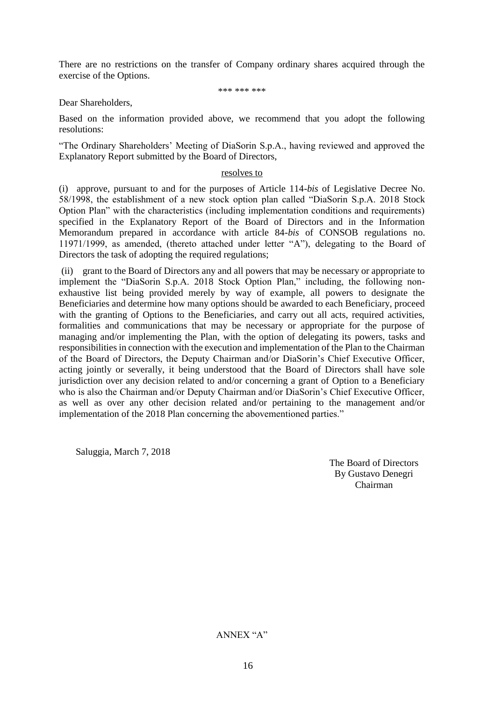There are no restrictions on the transfer of Company ordinary shares acquired through the exercise of the Options.

\*\*\* \*\*\* \*\*\*

Dear Shareholders,

Based on the information provided above, we recommend that you adopt the following resolutions:

"The Ordinary Shareholders' Meeting of DiaSorin S.p.A., having reviewed and approved the Explanatory Report submitted by the Board of Directors,

#### resolves to

(i) approve, pursuant to and for the purposes of Article 114-*bis* of Legislative Decree No. 58/1998, the establishment of a new stock option plan called "DiaSorin S.p.A. 2018 Stock Option Plan" with the characteristics (including implementation conditions and requirements) specified in the Explanatory Report of the Board of Directors and in the Information Memorandum prepared in accordance with article 84-*bis* of CONSOB regulations no. 11971/1999, as amended, (thereto attached under letter "A"), delegating to the Board of Directors the task of adopting the required regulations;

(ii) grant to the Board of Directors any and all powers that may be necessary or appropriate to implement the "DiaSorin S.p.A. 2018 Stock Option Plan," including, the following nonexhaustive list being provided merely by way of example, all powers to designate the Beneficiaries and determine how many options should be awarded to each Beneficiary, proceed with the granting of Options to the Beneficiaries, and carry out all acts, required activities, formalities and communications that may be necessary or appropriate for the purpose of managing and/or implementing the Plan, with the option of delegating its powers, tasks and responsibilities in connection with the execution and implementation of the Plan to the Chairman of the Board of Directors, the Deputy Chairman and/or DiaSorin's Chief Executive Officer, acting jointly or severally, it being understood that the Board of Directors shall have sole jurisdiction over any decision related to and/or concerning a grant of Option to a Beneficiary who is also the Chairman and/or Deputy Chairman and/or DiaSorin's Chief Executive Officer, as well as over any other decision related and/or pertaining to the management and/or implementation of the 2018 Plan concerning the abovementioned parties."

Saluggia, March 7, 2018

The Board of Directors By Gustavo Denegri Chairman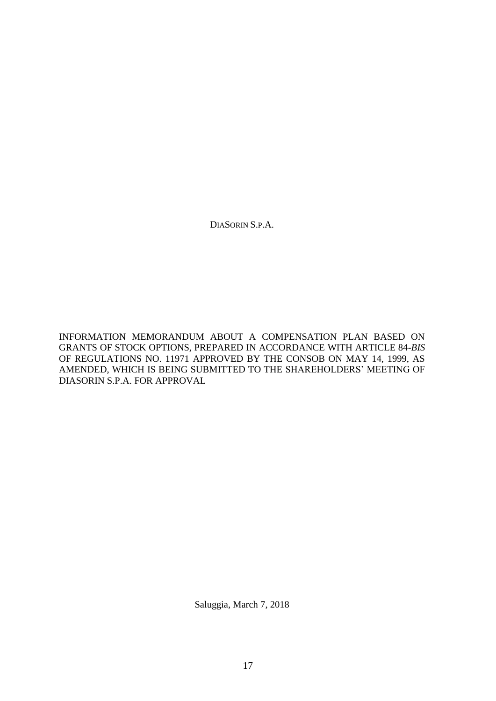DIASORIN S.P.A.

INFORMATION MEMORANDUM ABOUT A COMPENSATION PLAN BASED ON GRANTS OF STOCK OPTIONS, PREPARED IN ACCORDANCE WITH ARTICLE 84-*BIS*  OF REGULATIONS NO. 11971 APPROVED BY THE CONSOB ON MAY 14, 1999, AS AMENDED, WHICH IS BEING SUBMITTED TO THE SHAREHOLDERS' MEETING OF DIASORIN S.P.A. FOR APPROVAL

Saluggia, March 7, 2018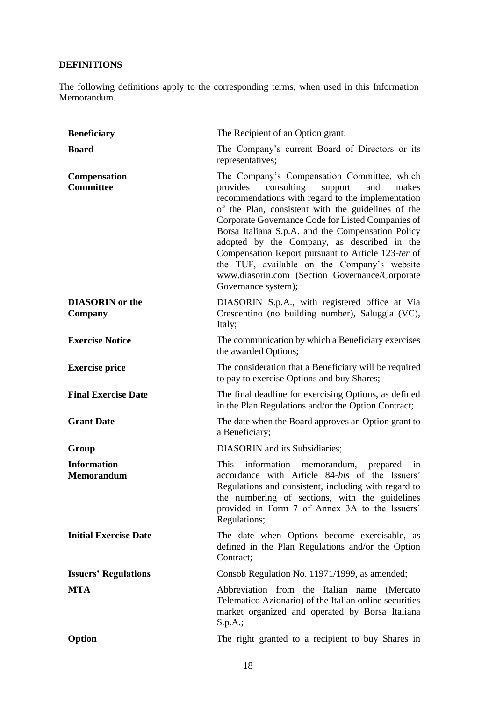### **DEFINITIONS**

The following definitions apply to the corresponding terms, when used in this Information Memorandum.

| <b>Beneficiary</b>                      | The Recipient of an Option grant;                                                                                                                                                                                                                                                                                                                                                                                                                                                                                                                  |
|-----------------------------------------|----------------------------------------------------------------------------------------------------------------------------------------------------------------------------------------------------------------------------------------------------------------------------------------------------------------------------------------------------------------------------------------------------------------------------------------------------------------------------------------------------------------------------------------------------|
| <b>Board</b>                            | The Company's current Board of Directors or its<br>representatives;                                                                                                                                                                                                                                                                                                                                                                                                                                                                                |
| <b>Compensation</b><br><b>Committee</b> | The Company's Compensation Committee, which<br>consulting<br>provides<br>support<br>and<br>makes<br>recommendations with regard to the implementation<br>of the Plan, consistent with the guidelines of the<br>Corporate Governance Code for Listed Companies of<br>Borsa Italiana S.p.A. and the Compensation Policy<br>adopted by the Company, as described in the<br>Compensation Report pursuant to Article 123-ter of<br>the TUF, available on the Company's website<br>www.diasorin.com (Section Governance/Corporate<br>Governance system); |
| <b>DIASORIN</b> or the<br>Company       | DIASORIN S.p.A., with registered office at Via<br>Crescentino (no building number), Saluggia (VC),<br>Italy;                                                                                                                                                                                                                                                                                                                                                                                                                                       |
| <b>Exercise Notice</b>                  | The communication by which a Beneficiary exercises<br>the awarded Options;                                                                                                                                                                                                                                                                                                                                                                                                                                                                         |
| <b>Exercise price</b>                   | The consideration that a Beneficiary will be required<br>to pay to exercise Options and buy Shares;                                                                                                                                                                                                                                                                                                                                                                                                                                                |
| <b>Final Exercise Date</b>              | The final deadline for exercising Options, as defined<br>in the Plan Regulations and/or the Option Contract;                                                                                                                                                                                                                                                                                                                                                                                                                                       |
| <b>Grant Date</b>                       | The date when the Board approves an Option grant to<br>a Beneficiary;                                                                                                                                                                                                                                                                                                                                                                                                                                                                              |
| Group                                   | DIASORIN and its Subsidiaries;                                                                                                                                                                                                                                                                                                                                                                                                                                                                                                                     |
| <b>Information</b><br><b>Memorandum</b> | information memorandum, prepared<br><b>This</b><br>in<br>accordance with Article 84-bis of the Issuers'<br>Regulations and consistent, including with regard to<br>the numbering of sections, with the guidelines<br>provided in Form 7 of Annex 3A to the Issuers'<br>Regulations;                                                                                                                                                                                                                                                                |
| <b>Initial Exercise Date</b>            | The date when Options become exercisable, as<br>defined in the Plan Regulations and/or the Option<br>Contract;                                                                                                                                                                                                                                                                                                                                                                                                                                     |
| <b>Issuers' Regulations</b>             | Consob Regulation No. 11971/1999, as amended;                                                                                                                                                                                                                                                                                                                                                                                                                                                                                                      |
| <b>MTA</b>                              | Abbreviation from the Italian name (Mercato<br>Telematico Azionario) of the Italian online securities<br>market organized and operated by Borsa Italiana<br>S.p.A.;                                                                                                                                                                                                                                                                                                                                                                                |
| Option                                  | The right granted to a recipient to buy Shares in                                                                                                                                                                                                                                                                                                                                                                                                                                                                                                  |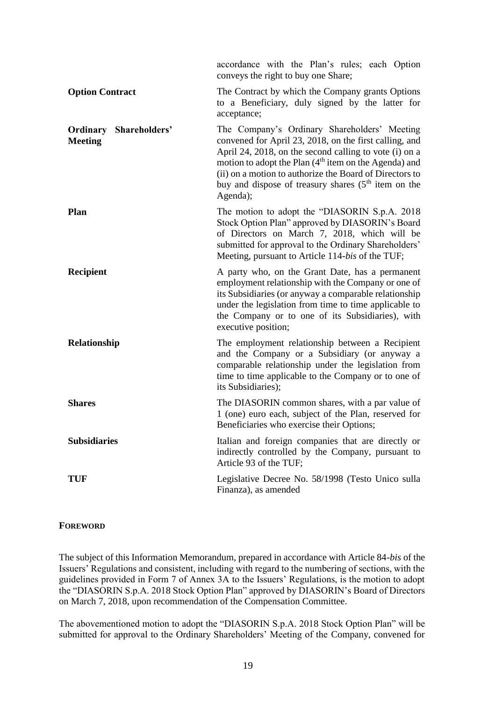|                                                 | accordance with the Plan's rules; each Option<br>conveys the right to buy one Share;                                                                                                                                                                                                                                                                                            |
|-------------------------------------------------|---------------------------------------------------------------------------------------------------------------------------------------------------------------------------------------------------------------------------------------------------------------------------------------------------------------------------------------------------------------------------------|
| <b>Option Contract</b>                          | The Contract by which the Company grants Options<br>to a Beneficiary, duly signed by the latter for<br>acceptance;                                                                                                                                                                                                                                                              |
| <b>Ordinary Shareholders'</b><br><b>Meeting</b> | The Company's Ordinary Shareholders' Meeting<br>convened for April 23, 2018, on the first calling, and<br>April 24, 2018, on the second calling to vote (i) on a<br>motion to adopt the Plan (4 <sup>th</sup> item on the Agenda) and<br>(ii) on a motion to authorize the Board of Directors to<br>buy and dispose of treasury shares (5 <sup>th</sup> item on the<br>Agenda); |
| <b>Plan</b>                                     | The motion to adopt the "DIASORIN S.p.A. 2018<br>Stock Option Plan" approved by DIASORIN's Board<br>of Directors on March 7, 2018, which will be<br>submitted for approval to the Ordinary Shareholders'<br>Meeting, pursuant to Article 114-bis of the TUF;                                                                                                                    |
| <b>Recipient</b>                                | A party who, on the Grant Date, has a permanent<br>employment relationship with the Company or one of<br>its Subsidiaries (or anyway a comparable relationship<br>under the legislation from time to time applicable to<br>the Company or to one of its Subsidiaries), with<br>executive position;                                                                              |
| Relationship                                    | The employment relationship between a Recipient<br>and the Company or a Subsidiary (or anyway a<br>comparable relationship under the legislation from<br>time to time applicable to the Company or to one of<br>its Subsidiaries);                                                                                                                                              |
| <b>Shares</b>                                   | The DIASORIN common shares, with a par value of<br>1 (one) euro each, subject of the Plan, reserved for<br>Beneficiaries who exercise their Options;                                                                                                                                                                                                                            |
| <b>Subsidiaries</b>                             | Italian and foreign companies that are directly or<br>indirectly controlled by the Company, pursuant to<br>Article 93 of the TUF;                                                                                                                                                                                                                                               |
| <b>TUF</b>                                      | Legislative Decree No. 58/1998 (Testo Unico sulla<br>Finanza), as amended                                                                                                                                                                                                                                                                                                       |

#### **FOREWORD**

The subject of this Information Memorandum, prepared in accordance with Article 84-*bis* of the Issuers' Regulations and consistent, including with regard to the numbering of sections, with the guidelines provided in Form 7 of Annex 3A to the Issuers' Regulations, is the motion to adopt the "DIASORIN S.p.A. 2018 Stock Option Plan" approved by DIASORIN's Board of Directors on March 7, 2018, upon recommendation of the Compensation Committee.

The abovementioned motion to adopt the "DIASORIN S.p.A. 2018 Stock Option Plan" will be submitted for approval to the Ordinary Shareholders' Meeting of the Company, convened for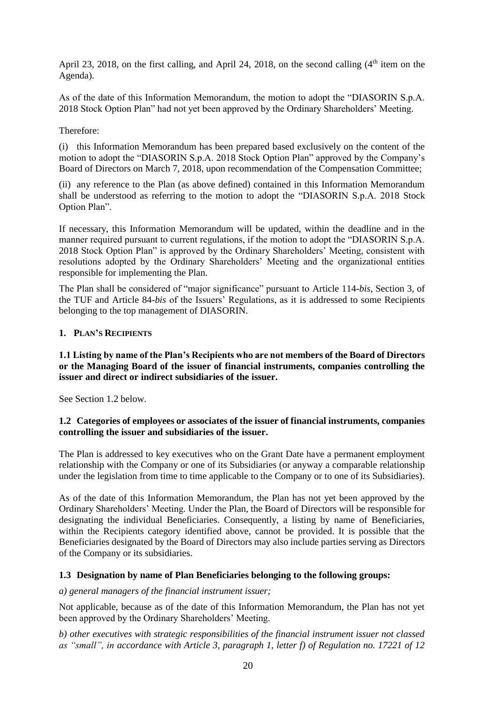April 23, 2018, on the first calling, and April 24, 2018, on the second calling  $(4<sup>th</sup>$  item on the Agenda).

As of the date of this Information Memorandum, the motion to adopt the "DIASORIN S.p.A. 2018 Stock Option Plan" had not yet been approved by the Ordinary Shareholders' Meeting.

Therefore:

(i) this Information Memorandum has been prepared based exclusively on the content of the motion to adopt the "DIASORIN S.p.A. 2018 Stock Option Plan" approved by the Company's Board of Directors on March 7, 2018, upon recommendation of the Compensation Committee;

(ii) any reference to the Plan (as above defined) contained in this Information Memorandum shall be understood as referring to the motion to adopt the "DIASORIN S.p.A. 2018 Stock Option Plan".

If necessary, this Information Memorandum will be updated, within the deadline and in the manner required pursuant to current regulations, if the motion to adopt the "DIASORIN S.p.A. 2018 Stock Option Plan" is approved by the Ordinary Shareholders' Meeting, consistent with resolutions adopted by the Ordinary Shareholders' Meeting and the organizational entities responsible for implementing the Plan.

The Plan shall be considered of "major significance" pursuant to Article 114-*bis*, Section 3, of the TUF and Article 84-*bis* of the Issuers' Regulations, as it is addressed to some Recipients belonging to the top management of DIASORIN.

#### **1. PLAN'S RECIPIENTS**

#### **1.1 Listing by name of the Plan's Recipients who are not members of the Board of Directors or the Managing Board of the issuer of financial instruments, companies controlling the issuer and direct or indirect subsidiaries of the issuer.**

See Section 1.2 below.

#### **1.2 Categories of employees or associates of the issuer of financial instruments, companies controlling the issuer and subsidiaries of the issuer.**

The Plan is addressed to key executives who on the Grant Date have a permanent employment relationship with the Company or one of its Subsidiaries (or anyway a comparable relationship under the legislation from time to time applicable to the Company or to one of its Subsidiaries).

As of the date of this Information Memorandum, the Plan has not yet been approved by the Ordinary Shareholders' Meeting. Under the Plan, the Board of Directors will be responsible for designating the individual Beneficiaries. Consequently, a listing by name of Beneficiaries, within the Recipients category identified above, cannot be provided. It is possible that the Beneficiaries designated by the Board of Directors may also include parties serving as Directors of the Company or its subsidiaries.

#### **1.3 Designation by name of Plan Beneficiaries belonging to the following groups:**

*a) general managers of the financial instrument issuer;*

Not applicable, because as of the date of this Information Memorandum, the Plan has not yet been approved by the Ordinary Shareholders' Meeting.

*b) other executives with strategic responsibilities of the financial instrument issuer not classed as "small", in accordance with Article 3, paragraph 1, letter f) of Regulation no. 17221 of 12*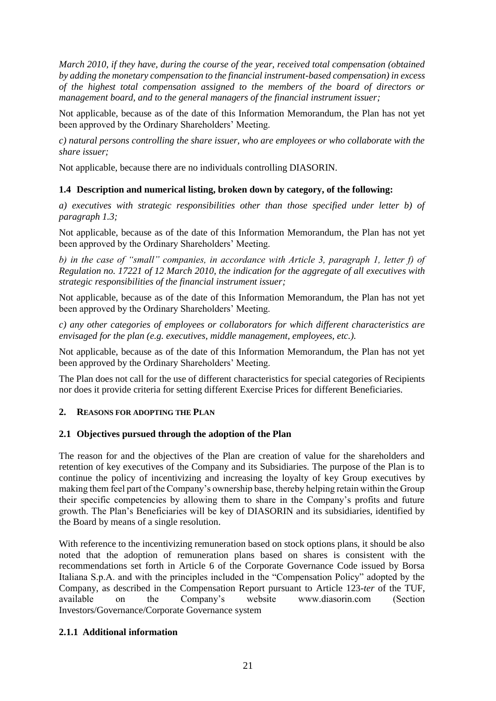*March 2010, if they have, during the course of the year, received total compensation (obtained by adding the monetary compensation to the financial instrument-based compensation) in excess of the highest total compensation assigned to the members of the board of directors or management board, and to the general managers of the financial instrument issuer;*

Not applicable, because as of the date of this Information Memorandum, the Plan has not yet been approved by the Ordinary Shareholders' Meeting.

*c) natural persons controlling the share issuer, who are employees or who collaborate with the share issuer;*

Not applicable, because there are no individuals controlling DIASORIN.

#### **1.4 Description and numerical listing, broken down by category, of the following:**

*a) executives with strategic responsibilities other than those specified under letter b) of paragraph 1.3;*

Not applicable, because as of the date of this Information Memorandum, the Plan has not yet been approved by the Ordinary Shareholders' Meeting.

*b) in the case of "small" companies, in accordance with Article 3, paragraph 1, letter f) of Regulation no. 17221 of 12 March 2010, the indication for the aggregate of all executives with strategic responsibilities of the financial instrument issuer;*

Not applicable, because as of the date of this Information Memorandum, the Plan has not yet been approved by the Ordinary Shareholders' Meeting.

*c) any other categories of employees or collaborators for which different characteristics are envisaged for the plan (e.g. executives, middle management, employees, etc.).*

Not applicable, because as of the date of this Information Memorandum, the Plan has not yet been approved by the Ordinary Shareholders' Meeting.

The Plan does not call for the use of different characteristics for special categories of Recipients nor does it provide criteria for setting different Exercise Prices for different Beneficiaries.

#### **2. REASONS FOR ADOPTING THE PLAN**

#### **2.1 Objectives pursued through the adoption of the Plan**

The reason for and the objectives of the Plan are creation of value for the shareholders and retention of key executives of the Company and its Subsidiaries. The purpose of the Plan is to continue the policy of incentivizing and increasing the loyalty of key Group executives by making them feel part of the Company's ownership base, thereby helping retain within the Group their specific competencies by allowing them to share in the Company's profits and future growth. The Plan's Beneficiaries will be key of DIASORIN and its subsidiaries, identified by the Board by means of a single resolution.

With reference to the incentivizing remuneration based on stock options plans, it should be also noted that the adoption of remuneration plans based on shares is consistent with the recommendations set forth in Article 6 of the Corporate Governance Code issued by Borsa Italiana S.p.A. and with the principles included in the "Compensation Policy" adopted by the Company, as described in the Compensation Report pursuant to Article 123-*ter* of the TUF, available on the Company's website www.diasorin.com (Section Investors/Governance/Corporate Governance system

#### **2.1.1 Additional information**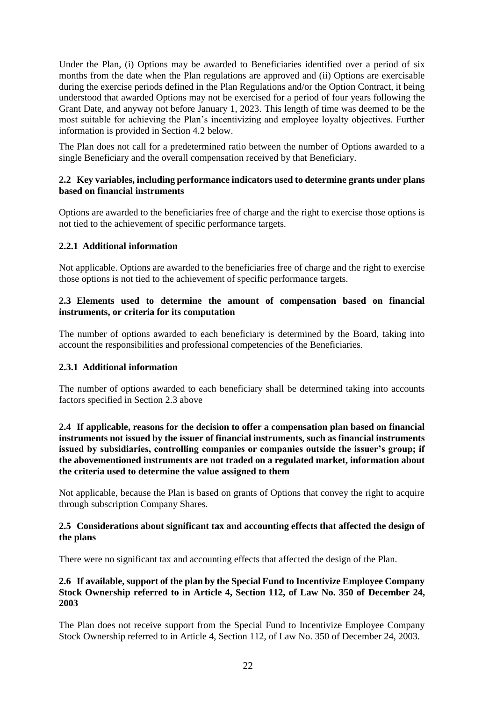Under the Plan, (i) Options may be awarded to Beneficiaries identified over a period of six months from the date when the Plan regulations are approved and (ii) Options are exercisable during the exercise periods defined in the Plan Regulations and/or the Option Contract, it being understood that awarded Options may not be exercised for a period of four years following the Grant Date, and anyway not before January 1, 2023. This length of time was deemed to be the most suitable for achieving the Plan's incentivizing and employee loyalty objectives. Further information is provided in Section 4.2 below.

The Plan does not call for a predetermined ratio between the number of Options awarded to a single Beneficiary and the overall compensation received by that Beneficiary.

#### **2.2 Key variables, including performance indicators used to determine grants under plans based on financial instruments**

Options are awarded to the beneficiaries free of charge and the right to exercise those options is not tied to the achievement of specific performance targets.

#### **2.2.1 Additional information**

Not applicable. Options are awarded to the beneficiaries free of charge and the right to exercise those options is not tied to the achievement of specific performance targets.

#### **2.3 Elements used to determine the amount of compensation based on financial instruments, or criteria for its computation**

The number of options awarded to each beneficiary is determined by the Board, taking into account the responsibilities and professional competencies of the Beneficiaries.

#### **2.3.1 Additional information**

The number of options awarded to each beneficiary shall be determined taking into accounts factors specified in Section 2.3 above

#### **2.4 If applicable, reasons for the decision to offer a compensation plan based on financial instruments not issued by the issuer of financial instruments, such as financial instruments issued by subsidiaries, controlling companies or companies outside the issuer's group; if the abovementioned instruments are not traded on a regulated market, information about the criteria used to determine the value assigned to them**

Not applicable, because the Plan is based on grants of Options that convey the right to acquire through subscription Company Shares.

#### **2.5 Considerations about significant tax and accounting effects that affected the design of the plans**

There were no significant tax and accounting effects that affected the design of the Plan.

#### **2.6 If available, support of the plan by the Special Fund to Incentivize Employee Company Stock Ownership referred to in Article 4, Section 112, of Law No. 350 of December 24, 2003**

The Plan does not receive support from the Special Fund to Incentivize Employee Company Stock Ownership referred to in Article 4, Section 112, of Law No. 350 of December 24, 2003.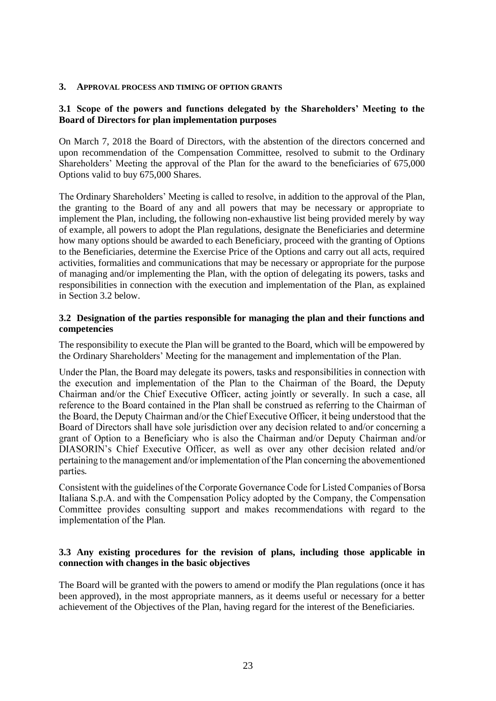#### **3. APPROVAL PROCESS AND TIMING OF OPTION GRANTS**

#### **3.1 Scope of the powers and functions delegated by the Shareholders' Meeting to the Board of Directors for plan implementation purposes**

On March 7, 2018 the Board of Directors, with the abstention of the directors concerned and upon recommendation of the Compensation Committee, resolved to submit to the Ordinary Shareholders' Meeting the approval of the Plan for the award to the beneficiaries of 675,000 Options valid to buy 675,000 Shares.

The Ordinary Shareholders' Meeting is called to resolve, in addition to the approval of the Plan, the granting to the Board of any and all powers that may be necessary or appropriate to implement the Plan, including, the following non-exhaustive list being provided merely by way of example, all powers to adopt the Plan regulations, designate the Beneficiaries and determine how many options should be awarded to each Beneficiary, proceed with the granting of Options to the Beneficiaries, determine the Exercise Price of the Options and carry out all acts, required activities, formalities and communications that may be necessary or appropriate for the purpose of managing and/or implementing the Plan, with the option of delegating its powers, tasks and responsibilities in connection with the execution and implementation of the Plan, as explained in Section 3.2 below.

#### **3.2 Designation of the parties responsible for managing the plan and their functions and competencies**

The responsibility to execute the Plan will be granted to the Board, which will be empowered by the Ordinary Shareholders' Meeting for the management and implementation of the Plan.

Under the Plan, the Board may delegate its powers, tasks and responsibilities in connection with the execution and implementation of the Plan to the Chairman of the Board, the Deputy Chairman and/or the Chief Executive Officer, acting jointly or severally. In such a case, all reference to the Board contained in the Plan shall be construed as referring to the Chairman of the Board, the Deputy Chairman and/or the Chief Executive Officer, it being understood that the Board of Directors shall have sole jurisdiction over any decision related to and/or concerning a grant of Option to a Beneficiary who is also the Chairman and/or Deputy Chairman and/or DIASORIN's Chief Executive Officer, as well as over any other decision related and/or pertaining to the management and/or implementation of the Plan concerning the abovementioned parties.

Consistent with the guidelines of the Corporate Governance Code for Listed Companies of Borsa Italiana S.p.A. and with the Compensation Policy adopted by the Company, the Compensation Committee provides consulting support and makes recommendations with regard to the implementation of the Plan.

#### **3.3 Any existing procedures for the revision of plans, including those applicable in connection with changes in the basic objectives**

The Board will be granted with the powers to amend or modify the Plan regulations (once it has been approved), in the most appropriate manners, as it deems useful or necessary for a better achievement of the Objectives of the Plan, having regard for the interest of the Beneficiaries.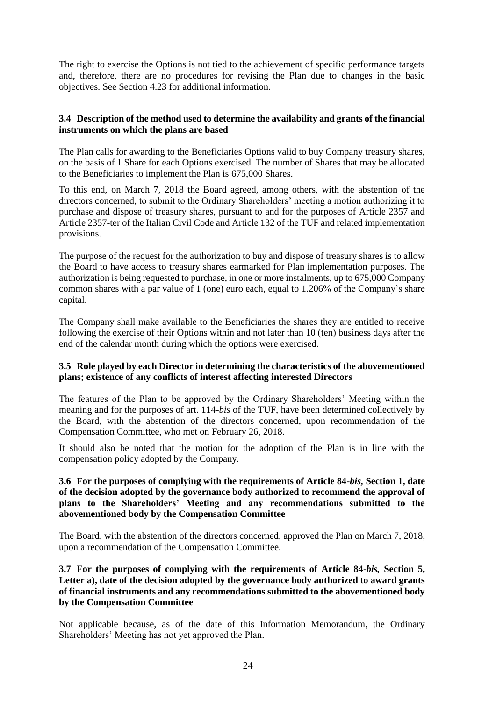The right to exercise the Options is not tied to the achievement of specific performance targets and, therefore, there are no procedures for revising the Plan due to changes in the basic objectives. See Section 4.23 for additional information.

#### **3.4 Description of the method used to determine the availability and grants of the financial instruments on which the plans are based**

The Plan calls for awarding to the Beneficiaries Options valid to buy Company treasury shares, on the basis of 1 Share for each Options exercised. The number of Shares that may be allocated to the Beneficiaries to implement the Plan is 675,000 Shares.

To this end, on March 7, 2018 the Board agreed, among others, with the abstention of the directors concerned, to submit to the Ordinary Shareholders' meeting a motion authorizing it to purchase and dispose of treasury shares, pursuant to and for the purposes of Article 2357 and Article 2357-ter of the Italian Civil Code and Article 132 of the TUF and related implementation provisions.

The purpose of the request for the authorization to buy and dispose of treasury shares is to allow the Board to have access to treasury shares earmarked for Plan implementation purposes. The authorization is being requested to purchase, in one or more instalments, up to 675,000 Company common shares with a par value of 1 (one) euro each, equal to 1.206% of the Company's share capital.

The Company shall make available to the Beneficiaries the shares they are entitled to receive following the exercise of their Options within and not later than 10 (ten) business days after the end of the calendar month during which the options were exercised.

#### **3.5 Role played by each Director in determining the characteristics of the abovementioned plans; existence of any conflicts of interest affecting interested Directors**

The features of the Plan to be approved by the Ordinary Shareholders' Meeting within the meaning and for the purposes of art. 114-*bis* of the TUF, have been determined collectively by the Board, with the abstention of the directors concerned, upon recommendation of the Compensation Committee, who met on February 26, 2018.

It should also be noted that the motion for the adoption of the Plan is in line with the compensation policy adopted by the Company.

#### **3.6 For the purposes of complying with the requirements of Article 84-***bis,* **Section 1, date of the decision adopted by the governance body authorized to recommend the approval of plans to the Shareholders' Meeting and any recommendations submitted to the abovementioned body by the Compensation Committee**

The Board, with the abstention of the directors concerned, approved the Plan on March 7, 2018, upon a recommendation of the Compensation Committee.

#### **3.7 For the purposes of complying with the requirements of Article 84-***bis,* **Section 5, Letter a), date of the decision adopted by the governance body authorized to award grants of financial instruments and any recommendations submitted to the abovementioned body by the Compensation Committee**

Not applicable because, as of the date of this Information Memorandum, the Ordinary Shareholders' Meeting has not yet approved the Plan.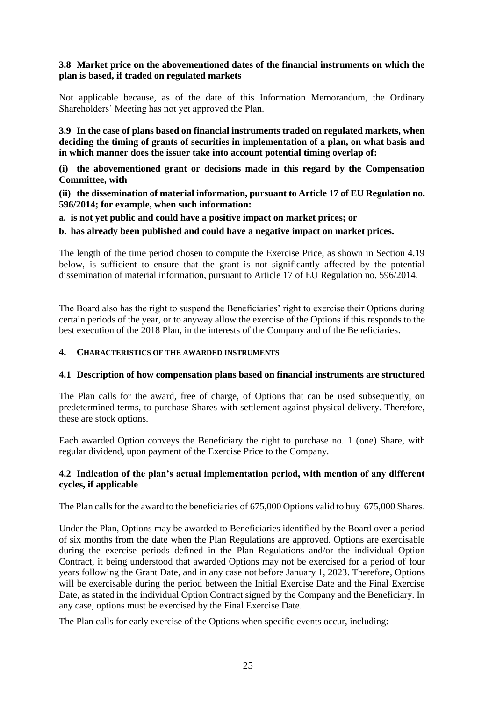#### **3.8 Market price on the abovementioned dates of the financial instruments on which the plan is based, if traded on regulated markets**

Not applicable because, as of the date of this Information Memorandum, the Ordinary Shareholders' Meeting has not yet approved the Plan.

**3.9 In the case of plans based on financial instruments traded on regulated markets, when deciding the timing of grants of securities in implementation of a plan, on what basis and in which manner does the issuer take into account potential timing overlap of:**

**(i) the abovementioned grant or decisions made in this regard by the Compensation Committee, with**

**(ii) the dissemination of material information, pursuant to Article 17 of EU Regulation no. 596/2014; for example, when such information:** 

**a. is not yet public and could have a positive impact on market prices; or**

**b. has already been published and could have a negative impact on market prices.**

The length of the time period chosen to compute the Exercise Price, as shown in Section 4.19 below, is sufficient to ensure that the grant is not significantly affected by the potential dissemination of material information, pursuant to Article 17 of EU Regulation no. 596/2014.

The Board also has the right to suspend the Beneficiaries' right to exercise their Options during certain periods of the year, or to anyway allow the exercise of the Options if this responds to the best execution of the 2018 Plan, in the interests of the Company and of the Beneficiaries.

#### **4. CHARACTERISTICS OF THE AWARDED INSTRUMENTS**

#### **4.1 Description of how compensation plans based on financial instruments are structured**

The Plan calls for the award, free of charge, of Options that can be used subsequently, on predetermined terms, to purchase Shares with settlement against physical delivery. Therefore, these are stock options.

Each awarded Option conveys the Beneficiary the right to purchase no. 1 (one) Share, with regular dividend, upon payment of the Exercise Price to the Company.

#### **4.2 Indication of the plan's actual implementation period, with mention of any different cycles, if applicable**

The Plan calls for the award to the beneficiaries of 675,000 Options valid to buy 675,000 Shares.

Under the Plan, Options may be awarded to Beneficiaries identified by the Board over a period of six months from the date when the Plan Regulations are approved. Options are exercisable during the exercise periods defined in the Plan Regulations and/or the individual Option Contract, it being understood that awarded Options may not be exercised for a period of four years following the Grant Date, and in any case not before January 1, 2023. Therefore, Options will be exercisable during the period between the Initial Exercise Date and the Final Exercise Date, as stated in the individual Option Contract signed by the Company and the Beneficiary. In any case, options must be exercised by the Final Exercise Date.

The Plan calls for early exercise of the Options when specific events occur, including: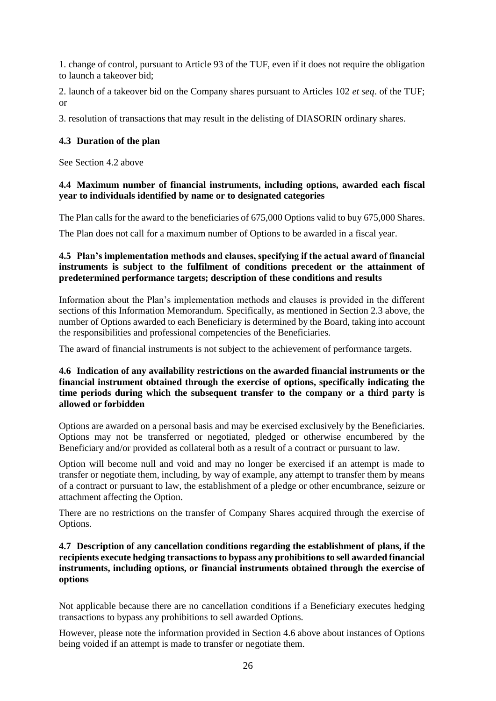1. change of control, pursuant to Article 93 of the TUF, even if it does not require the obligation to launch a takeover bid;

2. launch of a takeover bid on the Company shares pursuant to Articles 102 *et seq*. of the TUF; or

3. resolution of transactions that may result in the delisting of DIASORIN ordinary shares.

#### **4.3 Duration of the plan**

See Section 4.2 above

#### **4.4 Maximum number of financial instruments, including options, awarded each fiscal year to individuals identified by name or to designated categories**

The Plan calls for the award to the beneficiaries of 675,000 Options valid to buy 675,000 Shares.

The Plan does not call for a maximum number of Options to be awarded in a fiscal year.

#### **4.5 Plan's implementation methods and clauses, specifying if the actual award of financial instruments is subject to the fulfilment of conditions precedent or the attainment of predetermined performance targets; description of these conditions and results**

Information about the Plan's implementation methods and clauses is provided in the different sections of this Information Memorandum. Specifically, as mentioned in Section 2.3 above, the number of Options awarded to each Beneficiary is determined by the Board, taking into account the responsibilities and professional competencies of the Beneficiaries.

The award of financial instruments is not subject to the achievement of performance targets.

#### **4.6 Indication of any availability restrictions on the awarded financial instruments or the financial instrument obtained through the exercise of options, specifically indicating the time periods during which the subsequent transfer to the company or a third party is allowed or forbidden**

Options are awarded on a personal basis and may be exercised exclusively by the Beneficiaries. Options may not be transferred or negotiated, pledged or otherwise encumbered by the Beneficiary and/or provided as collateral both as a result of a contract or pursuant to law.

Option will become null and void and may no longer be exercised if an attempt is made to transfer or negotiate them, including, by way of example, any attempt to transfer them by means of a contract or pursuant to law, the establishment of a pledge or other encumbrance, seizure or attachment affecting the Option.

There are no restrictions on the transfer of Company Shares acquired through the exercise of Options.

#### **4.7 Description of any cancellation conditions regarding the establishment of plans, if the recipients execute hedging transactions to bypass any prohibitions to sell awarded financial instruments, including options, or financial instruments obtained through the exercise of options**

Not applicable because there are no cancellation conditions if a Beneficiary executes hedging transactions to bypass any prohibitions to sell awarded Options.

However, please note the information provided in Section 4.6 above about instances of Options being voided if an attempt is made to transfer or negotiate them.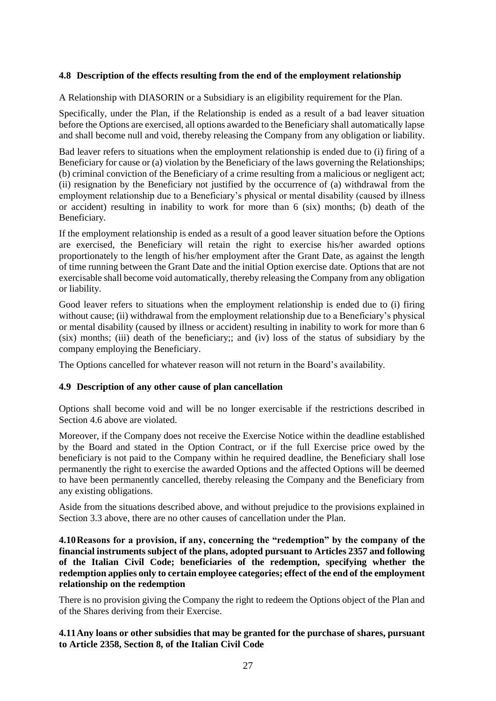#### **4.8 Description of the effects resulting from the end of the employment relationship**

A Relationship with DIASORIN or a Subsidiary is an eligibility requirement for the Plan.

Specifically, under the Plan, if the Relationship is ended as a result of a bad leaver situation before the Options are exercised, all options awarded to the Beneficiary shall automatically lapse and shall become null and void, thereby releasing the Company from any obligation or liability.

Bad leaver refers to situations when the employment relationship is ended due to (i) firing of a Beneficiary for cause or (a) violation by the Beneficiary of the laws governing the Relationships; (b) criminal conviction of the Beneficiary of a crime resulting from a malicious or negligent act; (ii) resignation by the Beneficiary not justified by the occurrence of (a) withdrawal from the employment relationship due to a Beneficiary's physical or mental disability (caused by illness or accident) resulting in inability to work for more than 6 (six) months; (b) death of the Beneficiary.

If the employment relationship is ended as a result of a good leaver situation before the Options are exercised, the Beneficiary will retain the right to exercise his/her awarded options proportionately to the length of his/her employment after the Grant Date, as against the length of time running between the Grant Date and the initial Option exercise date. Options that are not exercisable shall become void automatically, thereby releasing the Company from any obligation or liability.

Good leaver refers to situations when the employment relationship is ended due to (i) firing without cause; (ii) withdrawal from the employment relationship due to a Beneficiary's physical or mental disability (caused by illness or accident) resulting in inability to work for more than 6 (six) months; (iii) death of the beneficiary;; and (iv) loss of the status of subsidiary by the company employing the Beneficiary.

The Options cancelled for whatever reason will not return in the Board's availability.

#### **4.9 Description of any other cause of plan cancellation**

Options shall become void and will be no longer exercisable if the restrictions described in Section 4.6 above are violated.

Moreover, if the Company does not receive the Exercise Notice within the deadline established by the Board and stated in the Option Contract, or if the full Exercise price owed by the beneficiary is not paid to the Company within he required deadline, the Beneficiary shall lose permanently the right to exercise the awarded Options and the affected Options will be deemed to have been permanently cancelled, thereby releasing the Company and the Beneficiary from any existing obligations.

Aside from the situations described above, and without prejudice to the provisions explained in Section 3.3 above, there are no other causes of cancellation under the Plan.

**4.10Reasons for a provision, if any, concerning the "redemption" by the company of the financial instruments subject of the plans, adopted pursuant to Articles 2357 and following of the Italian Civil Code; beneficiaries of the redemption, specifying whether the redemption applies only to certain employee categories; effect of the end of the employment relationship on the redemption**

There is no provision giving the Company the right to redeem the Options object of the Plan and of the Shares deriving from their Exercise.

**4.11Any loans or other subsidies that may be granted for the purchase of shares, pursuant to Article 2358, Section 8, of the Italian Civil Code**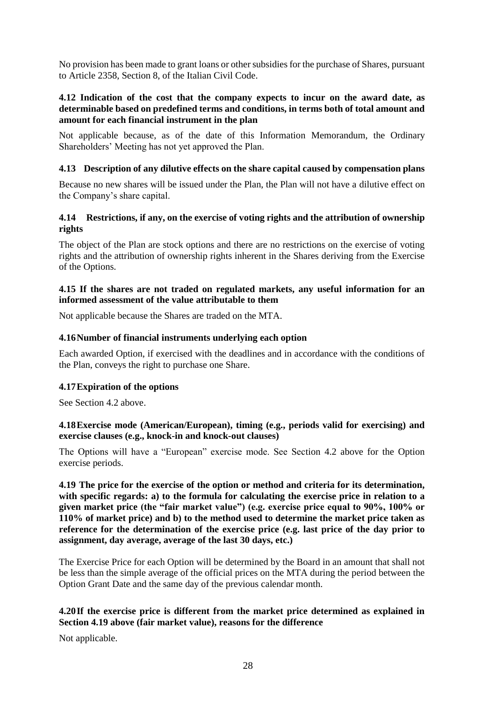No provision has been made to grant loans or other subsidies for the purchase of Shares, pursuant to Article 2358, Section 8, of the Italian Civil Code.

#### **4.12 Indication of the cost that the company expects to incur on the award date, as determinable based on predefined terms and conditions, in terms both of total amount and amount for each financial instrument in the plan**

Not applicable because, as of the date of this Information Memorandum, the Ordinary Shareholders' Meeting has not yet approved the Plan.

#### **4.13 Description of any dilutive effects on the share capital caused by compensation plans**

Because no new shares will be issued under the Plan, the Plan will not have a dilutive effect on the Company's share capital.

#### **4.14 Restrictions, if any, on the exercise of voting rights and the attribution of ownership rights**

The object of the Plan are stock options and there are no restrictions on the exercise of voting rights and the attribution of ownership rights inherent in the Shares deriving from the Exercise of the Options.

#### **4.15 If the shares are not traded on regulated markets, any useful information for an informed assessment of the value attributable to them**

Not applicable because the Shares are traded on the MTA.

#### **4.16Number of financial instruments underlying each option**

Each awarded Option, if exercised with the deadlines and in accordance with the conditions of the Plan, conveys the right to purchase one Share.

#### **4.17Expiration of the options**

See Section 4.2 above.

#### **4.18Exercise mode (American/European), timing (e.g., periods valid for exercising) and exercise clauses (e.g., knock-in and knock-out clauses)**

The Options will have a "European" exercise mode. See Section 4.2 above for the Option exercise periods.

**4.19 The price for the exercise of the option or method and criteria for its determination, with specific regards: a) to the formula for calculating the exercise price in relation to a given market price (the "fair market value") (e.g. exercise price equal to 90%, 100% or 110% of market price) and b) to the method used to determine the market price taken as reference for the determination of the exercise price (e.g. last price of the day prior to assignment, day average, average of the last 30 days, etc.)**

The Exercise Price for each Option will be determined by the Board in an amount that shall not be less than the simple average of the official prices on the MTA during the period between the Option Grant Date and the same day of the previous calendar month.

#### **4.20If the exercise price is different from the market price determined as explained in Section 4.19 above (fair market value), reasons for the difference**

Not applicable.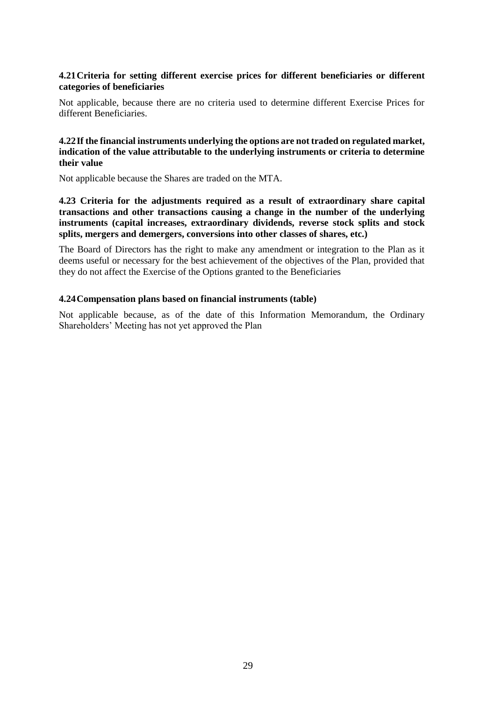#### **4.21Criteria for setting different exercise prices for different beneficiaries or different categories of beneficiaries**

Not applicable, because there are no criteria used to determine different Exercise Prices for different Beneficiaries.

#### **4.22If the financial instruments underlying the options are not traded on regulated market, indication of the value attributable to the underlying instruments or criteria to determine their value**

Not applicable because the Shares are traded on the MTA.

**4.23 Criteria for the adjustments required as a result of extraordinary share capital transactions and other transactions causing a change in the number of the underlying instruments (capital increases, extraordinary dividends, reverse stock splits and stock splits, mergers and demergers, conversions into other classes of shares, etc.)**

The Board of Directors has the right to make any amendment or integration to the Plan as it deems useful or necessary for the best achievement of the objectives of the Plan, provided that they do not affect the Exercise of the Options granted to the Beneficiaries

#### **4.24Compensation plans based on financial instruments (table)**

Not applicable because, as of the date of this Information Memorandum, the Ordinary Shareholders' Meeting has not yet approved the Plan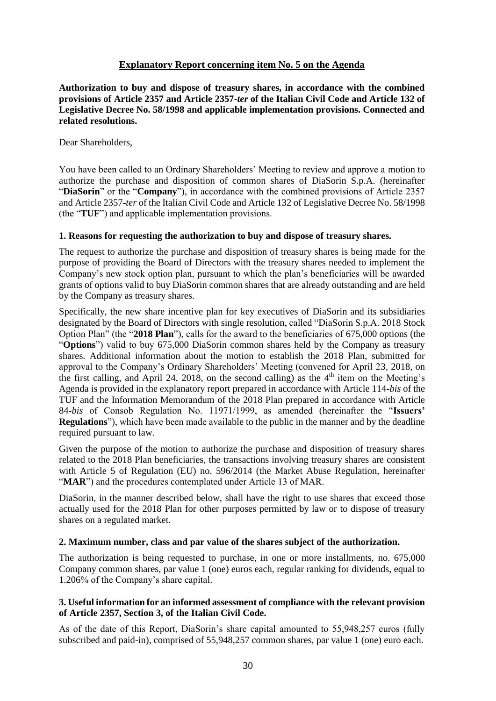#### **Explanatory Report concerning item No. 5 on the Agenda**

<span id="page-29-0"></span>**Authorization to buy and dispose of treasury shares, in accordance with the combined provisions of Article 2357 and Article 2357-***ter* **of the Italian Civil Code and Article 132 of Legislative Decree No. 58/1998 and applicable implementation provisions. Connected and related resolutions.**

Dear Shareholders,

You have been called to an Ordinary Shareholders' Meeting to review and approve a motion to authorize the purchase and disposition of common shares of DiaSorin S.p.A. (hereinafter "**DiaSorin**" or the "**Company**"), in accordance with the combined provisions of Article 2357 and Article 2357-*ter* of the Italian Civil Code and Article 132 of Legislative Decree No. 58/1998 (the "**TUF**") and applicable implementation provisions.

#### **1. Reasons for requesting the authorization to buy and dispose of treasury shares.**

The request to authorize the purchase and disposition of treasury shares is being made for the purpose of providing the Board of Directors with the treasury shares needed to implement the Company's new stock option plan, pursuant to which the plan's beneficiaries will be awarded grants of options valid to buy DiaSorin common shares that are already outstanding and are held by the Company as treasury shares.

Specifically, the new share incentive plan for key executives of DiaSorin and its subsidiaries designated by the Board of Directors with single resolution, called "DiaSorin S.p.A. 2018 Stock Option Plan" (the "**2018 Plan**"), calls for the award to the beneficiaries of 675,000 options (the "**Options**") valid to buy 675,000 DiaSorin common shares held by the Company as treasury shares. Additional information about the motion to establish the 2018 Plan, submitted for approval to the Company's Ordinary Shareholders' Meeting (convened for April 23, 2018, on the first calling, and April 24, 2018, on the second calling) as the  $4<sup>th</sup>$  item on the Meeting's Agenda is provided in the explanatory report prepared in accordance with Article 114-*bis* of the TUF and the Information Memorandum of the 2018 Plan prepared in accordance with Article 84-*bis* of Consob Regulation No. 11971/1999, as amended (hereinafter the "**Issuers' Regulations**"), which have been made available to the public in the manner and by the deadline required pursuant to law.

Given the purpose of the motion to authorize the purchase and disposition of treasury shares related to the 2018 Plan beneficiaries, the transactions involving treasury shares are consistent with Article 5 of Regulation (EU) no. 596/2014 (the Market Abuse Regulation, hereinafter "**MAR**") and the procedures contemplated under Article 13 of MAR.

DiaSorin, in the manner described below, shall have the right to use shares that exceed those actually used for the 2018 Plan for other purposes permitted by law or to dispose of treasury shares on a regulated market.

#### **2. Maximum number, class and par value of the shares subject of the authorization.**

The authorization is being requested to purchase, in one or more installments, no. 675,000 Company common shares, par value 1 (one) euros each, regular ranking for dividends, equal to 1.206% of the Company's share capital.

#### **3. Useful information for an informed assessment of compliance with the relevant provision of Article 2357, Section 3, of the Italian Civil Code.**

As of the date of this Report, DiaSorin's share capital amounted to 55,948,257 euros (fully subscribed and paid-in), comprised of 55,948,257 common shares, par value 1 (one) euro each.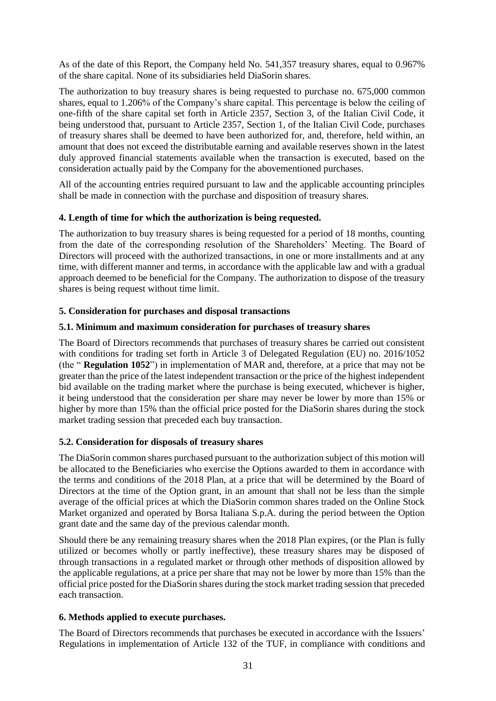As of the date of this Report, the Company held No. 541,357 treasury shares, equal to 0.967% of the share capital. None of its subsidiaries held DiaSorin shares.

The authorization to buy treasury shares is being requested to purchase no. 675,000 common shares, equal to 1.206% of the Company's share capital. This percentage is below the ceiling of one-fifth of the share capital set forth in Article 2357, Section 3, of the Italian Civil Code, it being understood that, pursuant to Article 2357, Section 1, of the Italian Civil Code, purchases of treasury shares shall be deemed to have been authorized for, and, therefore, held within, an amount that does not exceed the distributable earning and available reserves shown in the latest duly approved financial statements available when the transaction is executed, based on the consideration actually paid by the Company for the abovementioned purchases.

All of the accounting entries required pursuant to law and the applicable accounting principles shall be made in connection with the purchase and disposition of treasury shares.

#### **4. Length of time for which the authorization is being requested.**

The authorization to buy treasury shares is being requested for a period of 18 months, counting from the date of the corresponding resolution of the Shareholders' Meeting. The Board of Directors will proceed with the authorized transactions, in one or more installments and at any time, with different manner and terms, in accordance with the applicable law and with a gradual approach deemed to be beneficial for the Company. The authorization to dispose of the treasury shares is being request without time limit.

#### **5. Consideration for purchases and disposal transactions**

#### **5.1. Minimum and maximum consideration for purchases of treasury shares**

The Board of Directors recommends that purchases of treasury shares be carried out consistent with conditions for trading set forth in Article 3 of Delegated Regulation (EU) no. 2016/1052 (the " **Regulation 1052**") in implementation of MAR and, therefore, at a price that may not be greater than the price of the latest independent transaction or the price of the highest independent bid available on the trading market where the purchase is being executed, whichever is higher, it being understood that the consideration per share may never be lower by more than 15% or higher by more than 15% than the official price posted for the DiaSorin shares during the stock market trading session that preceded each buy transaction.

#### **5.2. Consideration for disposals of treasury shares**

The DiaSorin common shares purchased pursuant to the authorization subject of this motion will be allocated to the Beneficiaries who exercise the Options awarded to them in accordance with the terms and conditions of the 2018 Plan, at a price that will be determined by the Board of Directors at the time of the Option grant, in an amount that shall not be less than the simple average of the official prices at which the DiaSorin common shares traded on the Online Stock Market organized and operated by Borsa Italiana S.p.A. during the period between the Option grant date and the same day of the previous calendar month.

Should there be any remaining treasury shares when the 2018 Plan expires, (or the Plan is fully utilized or becomes wholly or partly ineffective), these treasury shares may be disposed of through transactions in a regulated market or through other methods of disposition allowed by the applicable regulations, at a price per share that may not be lower by more than 15% than the official price posted for the DiaSorin shares during the stock market trading session that preceded each transaction.

#### **6. Methods applied to execute purchases.**

The Board of Directors recommends that purchases be executed in accordance with the Issuers' Regulations in implementation of Article 132 of the TUF, in compliance with conditions and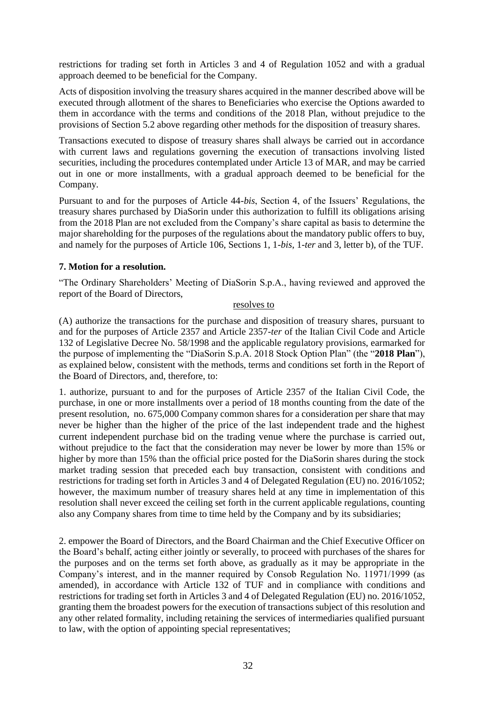restrictions for trading set forth in Articles 3 and 4 of Regulation 1052 and with a gradual approach deemed to be beneficial for the Company.

Acts of disposition involving the treasury shares acquired in the manner described above will be executed through allotment of the shares to Beneficiaries who exercise the Options awarded to them in accordance with the terms and conditions of the 2018 Plan, without prejudice to the provisions of Section 5.2 above regarding other methods for the disposition of treasury shares.

Transactions executed to dispose of treasury shares shall always be carried out in accordance with current laws and regulations governing the execution of transactions involving listed securities, including the procedures contemplated under Article 13 of MAR, and may be carried out in one or more installments, with a gradual approach deemed to be beneficial for the Company.

Pursuant to and for the purposes of Article 44-*bis*, Section 4, of the Issuers' Regulations, the treasury shares purchased by DiaSorin under this authorization to fulfill its obligations arising from the 2018 Plan are not excluded from the Company's share capital as basis to determine the major shareholding for the purposes of the regulations about the mandatory public offers to buy, and namely for the purposes of Article 106, Sections 1, 1-*bis*, 1-*ter* and 3, letter b), of the TUF.

#### **7. Motion for a resolution.**

"The Ordinary Shareholders' Meeting of DiaSorin S.p.A., having reviewed and approved the report of the Board of Directors,

#### resolves to

(A) authorize the transactions for the purchase and disposition of treasury shares, pursuant to and for the purposes of Article 2357 and Article 2357-*ter* of the Italian Civil Code and Article 132 of Legislative Decree No. 58/1998 and the applicable regulatory provisions, earmarked for the purpose of implementing the "DiaSorin S.p.A. 2018 Stock Option Plan" (the "**2018 Plan**"), as explained below, consistent with the methods, terms and conditions set forth in the Report of the Board of Directors, and, therefore, to:

1. authorize, pursuant to and for the purposes of Article 2357 of the Italian Civil Code, the purchase, in one or more installments over a period of 18 months counting from the date of the present resolution, no. 675,000 Company common shares for a consideration per share that may never be higher than the higher of the price of the last independent trade and the highest current independent purchase bid on the trading venue where the purchase is carried out, without prejudice to the fact that the consideration may never be lower by more than 15% or higher by more than 15% than the official price posted for the DiaSorin shares during the stock market trading session that preceded each buy transaction, consistent with conditions and restrictions for trading set forth in Articles 3 and 4 of Delegated Regulation (EU) no. 2016/1052; however, the maximum number of treasury shares held at any time in implementation of this resolution shall never exceed the ceiling set forth in the current applicable regulations, counting also any Company shares from time to time held by the Company and by its subsidiaries;

2. empower the Board of Directors, and the Board Chairman and the Chief Executive Officer on the Board's behalf, acting either jointly or severally, to proceed with purchases of the shares for the purposes and on the terms set forth above, as gradually as it may be appropriate in the Company's interest, and in the manner required by Consob Regulation No. 11971/1999 (as amended), in accordance with Article 132 of TUF and in compliance with conditions and restrictions for trading set forth in Articles 3 and 4 of Delegated Regulation (EU) no. 2016/1052, granting them the broadest powers for the execution of transactions subject of this resolution and any other related formality, including retaining the services of intermediaries qualified pursuant to law, with the option of appointing special representatives;